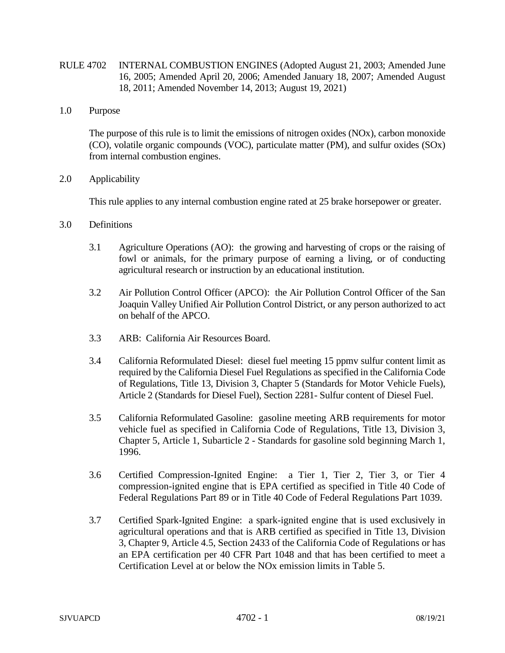- RULE 4702 INTERNAL COMBUSTION ENGINES (Adopted August 21, 2003; Amended June 16, 2005; Amended April 20, 2006; Amended January 18, 2007; Amended August 18, 2011; Amended November 14, 2013; August 19, 2021)
- 1.0 Purpose

The purpose of this rule is to limit the emissions of nitrogen oxides (NOx), carbon monoxide (CO), volatile organic compounds (VOC), particulate matter (PM), and sulfur oxides (SOx) from internal combustion engines.

2.0 Applicability

This rule applies to any internal combustion engine rated at 25 brake horsepower or greater.

- 3.0 Definitions
	- 3.1 Agriculture Operations (AO): the growing and harvesting of crops or the raising of fowl or animals, for the primary purpose of earning a living, or of conducting agricultural research or instruction by an educational institution.
	- 3.2 Air Pollution Control Officer (APCO): the Air Pollution Control Officer of the San Joaquin Valley Unified Air Pollution Control District, or any person authorized to act on behalf of the APCO.
	- 3.3 ARB: California Air Resources Board.
	- 3.4 California Reformulated Diesel: diesel fuel meeting 15 ppmv sulfur content limit as required by the California Diesel Fuel Regulations as specified in the California Code of Regulations, Title 13, Division 3, Chapter 5 (Standards for Motor Vehicle Fuels), Article 2 (Standards for Diesel Fuel), Section 2281- Sulfur content of Diesel Fuel.
	- 3.5 California Reformulated Gasoline: gasoline meeting ARB requirements for motor vehicle fuel as specified in California Code of Regulations, Title 13, Division 3, Chapter 5, Article 1, Subarticle 2 - Standards for gasoline sold beginning March 1, 1996.
	- 3.6 Certified Compression-Ignited Engine: a Tier 1, Tier 2, Tier 3, or Tier 4 compression-ignited engine that is EPA certified as specified in Title 40 Code of Federal Regulations Part 89 or in Title 40 Code of Federal Regulations Part 1039.
	- 3.7 Certified Spark-Ignited Engine: a spark-ignited engine that is used exclusively in agricultural operations and that is ARB certified as specified in Title 13, Division 3, Chapter 9, Article 4.5, Section 2433 of the California Code of Regulations or has an EPA certification per 40 CFR Part 1048 and that has been certified to meet a Certification Level at or below the NOx emission limits in Table 5.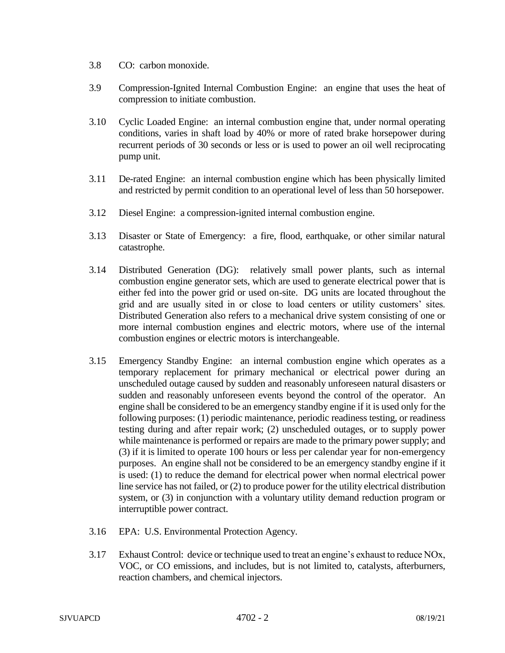- 3.8 CO: carbon monoxide.
- 3.9 Compression-Ignited Internal Combustion Engine: an engine that uses the heat of compression to initiate combustion.
- 3.10 Cyclic Loaded Engine: an internal combustion engine that, under normal operating conditions, varies in shaft load by 40% or more of rated brake horsepower during recurrent periods of 30 seconds or less or is used to power an oil well reciprocating pump unit.
- 3.11 De-rated Engine: an internal combustion engine which has been physically limited and restricted by permit condition to an operational level of less than 50 horsepower.
- 3.12 Diesel Engine: a compression-ignited internal combustion engine.
- 3.13 Disaster or State of Emergency: a fire, flood, earthquake, or other similar natural catastrophe.
- 3.14 Distributed Generation (DG): relatively small power plants, such as internal combustion engine generator sets, which are used to generate electrical power that is either fed into the power grid or used on-site. DG units are located throughout the grid and are usually sited in or close to load centers or utility customers' sites. Distributed Generation also refers to a mechanical drive system consisting of one or more internal combustion engines and electric motors, where use of the internal combustion engines or electric motors is interchangeable.
- 3.15 Emergency Standby Engine: an internal combustion engine which operates as a temporary replacement for primary mechanical or electrical power during an unscheduled outage caused by sudden and reasonably unforeseen natural disasters or sudden and reasonably unforeseen events beyond the control of the operator. An engine shall be considered to be an emergency standby engine if it is used only for the following purposes: (1) periodic maintenance, periodic readiness testing, or readiness testing during and after repair work; (2) unscheduled outages, or to supply power while maintenance is performed or repairs are made to the primary power supply; and (3) if it is limited to operate 100 hours or less per calendar year for non-emergency purposes. An engine shall not be considered to be an emergency standby engine if it is used: (1) to reduce the demand for electrical power when normal electrical power line service has not failed, or (2) to produce power for the utility electrical distribution system, or (3) in conjunction with a voluntary utility demand reduction program or interruptible power contract.
- 3.16 EPA: U.S. Environmental Protection Agency.
- 3.17 Exhaust Control: device or technique used to treat an engine's exhaust to reduce NOx, VOC, or CO emissions, and includes, but is not limited to, catalysts, afterburners, reaction chambers, and chemical injectors.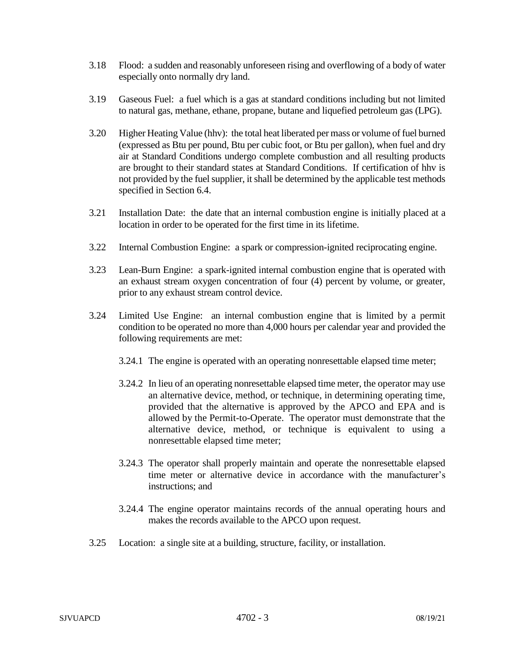- 3.18 Flood: a sudden and reasonably unforeseen rising and overflowing of a body of water especially onto normally dry land.
- 3.19 Gaseous Fuel: a fuel which is a gas at standard conditions including but not limited to natural gas, methane, ethane, propane, butane and liquefied petroleum gas (LPG).
- 3.20 Higher Heating Value (hhv): the total heat liberated per mass or volume of fuel burned (expressed as Btu per pound, Btu per cubic foot, or Btu per gallon), when fuel and dry air at Standard Conditions undergo complete combustion and all resulting products are brought to their standard states at Standard Conditions. If certification of hhv is not provided by the fuel supplier, it shall be determined by the applicable test methods specified in Section 6.4.
- 3.21 Installation Date: the date that an internal combustion engine is initially placed at a location in order to be operated for the first time in its lifetime.
- 3.22 Internal Combustion Engine: a spark or compression-ignited reciprocating engine.
- 3.23 Lean-Burn Engine: a spark-ignited internal combustion engine that is operated with an exhaust stream oxygen concentration of four (4) percent by volume, or greater, prior to any exhaust stream control device.
- 3.24 Limited Use Engine: an internal combustion engine that is limited by a permit condition to be operated no more than 4,000 hours per calendar year and provided the following requirements are met:
	- 3.24.1 The engine is operated with an operating nonresettable elapsed time meter;
	- 3.24.2 In lieu of an operating nonresettable elapsed time meter, the operator may use an alternative device, method, or technique, in determining operating time, provided that the alternative is approved by the APCO and EPA and is allowed by the Permit-to-Operate. The operator must demonstrate that the alternative device, method, or technique is equivalent to using a nonresettable elapsed time meter;
	- 3.24.3 The operator shall properly maintain and operate the nonresettable elapsed time meter or alternative device in accordance with the manufacturer's instructions; and
	- 3.24.4 The engine operator maintains records of the annual operating hours and makes the records available to the APCO upon request.
- 3.25 Location: a single site at a building, structure, facility, or installation.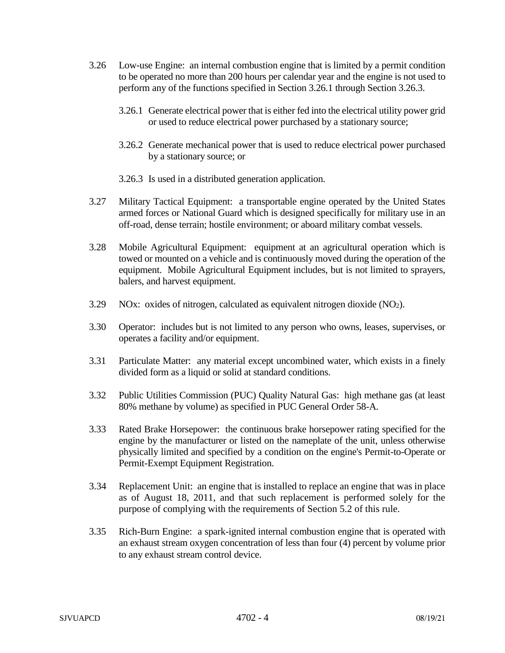- 3.26 Low-use Engine: an internal combustion engine that is limited by a permit condition to be operated no more than 200 hours per calendar year and the engine is not used to perform any of the functions specified in Section 3.26.1 through Section 3.26.3.
	- 3.26.1 Generate electrical power that is either fed into the electrical utility power grid or used to reduce electrical power purchased by a stationary source;
	- 3.26.2 Generate mechanical power that is used to reduce electrical power purchased by a stationary source; or
	- 3.26.3 Is used in a distributed generation application.
- 3.27 Military Tactical Equipment: a transportable engine operated by the United States armed forces or National Guard which is designed specifically for military use in an off-road, dense terrain; hostile environment; or aboard military combat vessels.
- 3.28 Mobile Agricultural Equipment: equipment at an agricultural operation which is towed or mounted on a vehicle and is continuously moved during the operation of the equipment. Mobile Agricultural Equipment includes, but is not limited to sprayers, balers, and harvest equipment.
- 3.29 NOx: oxides of nitrogen, calculated as equivalent nitrogen dioxide  $(NO<sub>2</sub>)$ .
- 3.30 Operator: includes but is not limited to any person who owns, leases, supervises, or operates a facility and/or equipment.
- 3.31 Particulate Matter: any material except uncombined water, which exists in a finely divided form as a liquid or solid at standard conditions.
- 3.32 Public Utilities Commission (PUC) Quality Natural Gas: high methane gas (at least 80% methane by volume) as specified in PUC General Order 58-A.
- 3.33 Rated Brake Horsepower: the continuous brake horsepower rating specified for the engine by the manufacturer or listed on the nameplate of the unit, unless otherwise physically limited and specified by a condition on the engine's Permit-to-Operate or Permit-Exempt Equipment Registration.
- 3.34 Replacement Unit: an engine that is installed to replace an engine that was in place as of August 18, 2011, and that such replacement is performed solely for the purpose of complying with the requirements of Section 5.2 of this rule.
- 3.35 Rich-Burn Engine: a spark-ignited internal combustion engine that is operated with an exhaust stream oxygen concentration of less than four (4) percent by volume prior to any exhaust stream control device.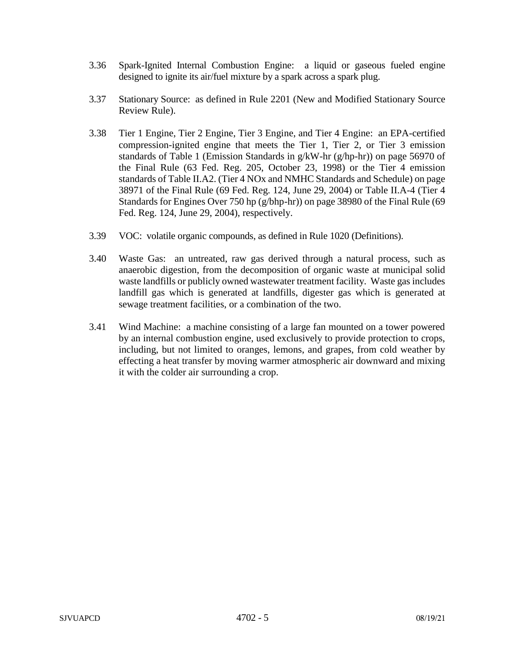- 3.36 Spark-Ignited Internal Combustion Engine: a liquid or gaseous fueled engine designed to ignite its air/fuel mixture by a spark across a spark plug.
- 3.37 Stationary Source: as defined in Rule 2201 (New and Modified Stationary Source Review Rule).
- 3.38 Tier 1 Engine, Tier 2 Engine, Tier 3 Engine, and Tier 4 Engine: an EPA-certified compression-ignited engine that meets the Tier 1, Tier 2, or Tier 3 emission standards of Table 1 (Emission Standards in g/kW-hr (g/hp-hr)) on page 56970 of the Final Rule (63 Fed. Reg. 205, October 23, 1998) or the Tier 4 emission standards of Table II.A2. (Tier 4 NOx and NMHC Standards and Schedule) on page 38971 of the Final Rule (69 Fed. Reg. 124, June 29, 2004) or Table II.A-4 (Tier 4 Standards for Engines Over 750 hp (g/bhp-hr)) on page 38980 of the Final Rule (69 Fed. Reg. 124, June 29, 2004), respectively.
- 3.39 VOC: volatile organic compounds, as defined in Rule 1020 (Definitions).
- 3.40 Waste Gas: an untreated, raw gas derived through a natural process, such as anaerobic digestion, from the decomposition of organic waste at municipal solid waste landfills or publicly owned wastewater treatment facility. Waste gas includes landfill gas which is generated at landfills, digester gas which is generated at sewage treatment facilities, or a combination of the two.
- 3.41 Wind Machine: a machine consisting of a large fan mounted on a tower powered by an internal combustion engine, used exclusively to provide protection to crops, including, but not limited to oranges, lemons, and grapes, from cold weather by effecting a heat transfer by moving warmer atmospheric air downward and mixing it with the colder air surrounding a crop.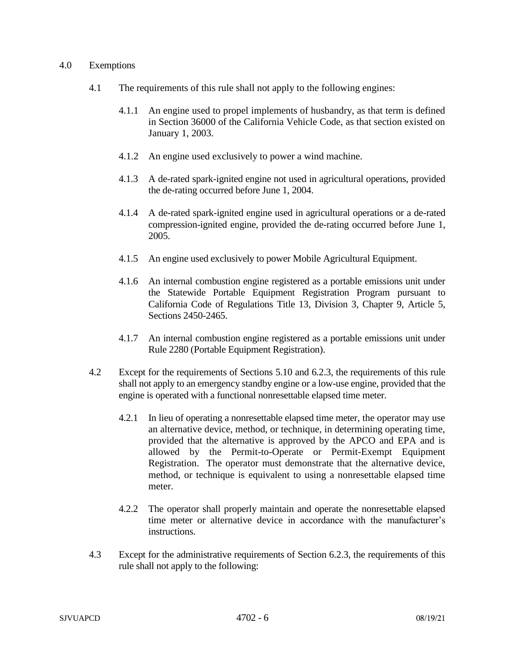### 4.0 Exemptions

- 4.1 The requirements of this rule shall not apply to the following engines:
	- 4.1.1 An engine used to propel implements of husbandry, as that term is defined in Section 36000 of the California Vehicle Code, as that section existed on January 1, 2003.
	- 4.1.2 An engine used exclusively to power a wind machine.
	- 4.1.3 A de-rated spark-ignited engine not used in agricultural operations, provided the de-rating occurred before June 1, 2004.
	- 4.1.4 A de-rated spark-ignited engine used in agricultural operations or a de-rated compression-ignited engine, provided the de-rating occurred before June 1, 2005.
	- 4.1.5 An engine used exclusively to power Mobile Agricultural Equipment.
	- 4.1.6 An internal combustion engine registered as a portable emissions unit under the Statewide Portable Equipment Registration Program pursuant to California Code of Regulations Title 13, Division 3, Chapter 9, Article 5, Sections 2450-2465.
	- 4.1.7 An internal combustion engine registered as a portable emissions unit under Rule 2280 (Portable Equipment Registration).
- 4.2 Except for the requirements of Sections 5.10 and 6.2.3, the requirements of this rule shall not apply to an emergency standby engine or a low-use engine, provided that the engine is operated with a functional nonresettable elapsed time meter.
	- 4.2.1 In lieu of operating a nonresettable elapsed time meter, the operator may use an alternative device, method, or technique, in determining operating time, provided that the alternative is approved by the APCO and EPA and is allowed by the Permit-to-Operate or Permit-Exempt Equipment Registration. The operator must demonstrate that the alternative device, method, or technique is equivalent to using a nonresettable elapsed time meter.
	- 4.2.2 The operator shall properly maintain and operate the nonresettable elapsed time meter or alternative device in accordance with the manufacturer's instructions.
- 4.3 Except for the administrative requirements of Section 6.2.3, the requirements of this rule shall not apply to the following: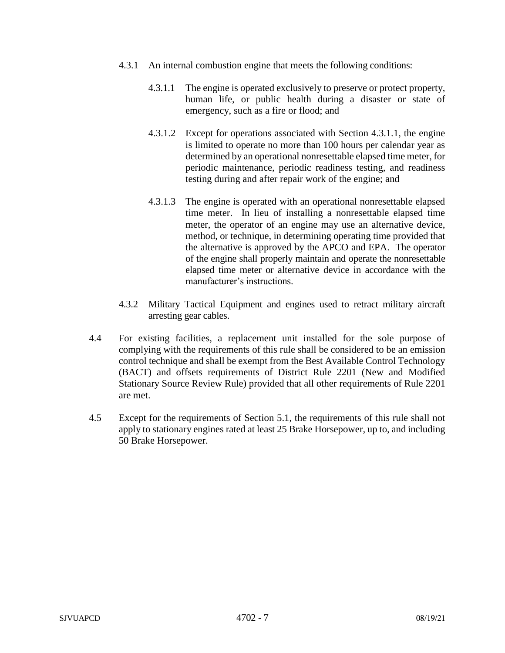- 4.3.1 An internal combustion engine that meets the following conditions:
	- 4.3.1.1 The engine is operated exclusively to preserve or protect property, human life, or public health during a disaster or state of emergency, such as a fire or flood; and
	- 4.3.1.2 Except for operations associated with Section 4.3.1.1, the engine is limited to operate no more than 100 hours per calendar year as determined by an operational nonresettable elapsed time meter, for periodic maintenance, periodic readiness testing, and readiness testing during and after repair work of the engine; and
	- 4.3.1.3 The engine is operated with an operational nonresettable elapsed time meter. In lieu of installing a nonresettable elapsed time meter, the operator of an engine may use an alternative device, method, or technique, in determining operating time provided that the alternative is approved by the APCO and EPA. The operator of the engine shall properly maintain and operate the nonresettable elapsed time meter or alternative device in accordance with the manufacturer's instructions.
- 4.3.2 Military Tactical Equipment and engines used to retract military aircraft arresting gear cables.
- 4.4 For existing facilities, a replacement unit installed for the sole purpose of complying with the requirements of this rule shall be considered to be an emission control technique and shall be exempt from the Best Available Control Technology (BACT) and offsets requirements of District Rule 2201 (New and Modified Stationary Source Review Rule) provided that all other requirements of Rule 2201 are met.
- 4.5 Except for the requirements of Section 5.1, the requirements of this rule shall not apply to stationary engines rated at least 25 Brake Horsepower, up to, and including 50 Brake Horsepower.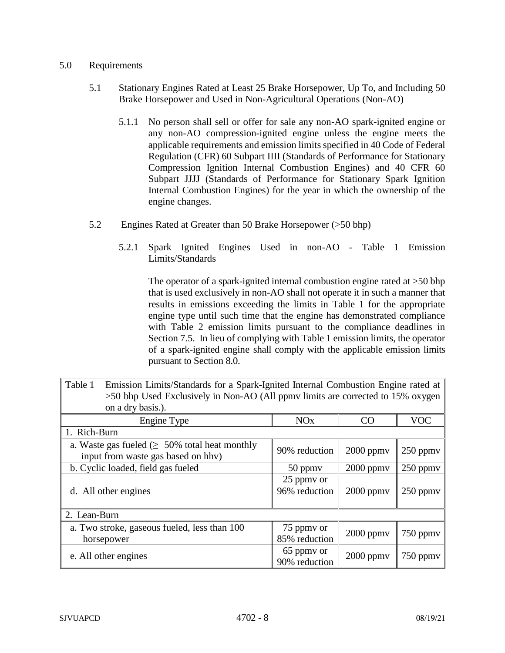# 5.0 Requirements

- 5.1 Stationary Engines Rated at Least 25 Brake Horsepower, Up To, and Including 50 Brake Horsepower and Used in Non-Agricultural Operations (Non-AO)
	- 5.1.1 No person shall sell or offer for sale any non-AO spark-ignited engine or any non-AO compression-ignited engine unless the engine meets the applicable requirements and emission limits specified in 40 Code of Federal Regulation (CFR) 60 Subpart IIII (Standards of Performance for Stationary Compression Ignition Internal Combustion Engines) and 40 CFR 60 Subpart JJJJ (Standards of Performance for Stationary Spark Ignition Internal Combustion Engines) for the year in which the ownership of the engine changes.
- 5.2 Engines Rated at Greater than 50 Brake Horsepower (>50 bhp)
	- 5.2.1 Spark Ignited Engines Used in non-AO Table 1 Emission Limits/Standards

The operator of a spark-ignited internal combustion engine rated at >50 bhp that is used exclusively in non-AO shall not operate it in such a manner that results in emissions exceeding the limits in Table 1 for the appropriate engine type until such time that the engine has demonstrated compliance with Table 2 emission limits pursuant to the compliance deadlines in Section 7.5. In lieu of complying with Table 1 emission limits, the operator of a spark-ignited engine shall comply with the applicable emission limits pursuant to Section 8.0.

| Table 1<br>Emission Limits/Standards for a Spark-Ignited Internal Combustion Engine rated at<br>>50 bhp Used Exclusively in Non-AO (All ppmv limits are corrected to 15% oxygen<br>on a dry basis.). |                             |                |               |  |
|------------------------------------------------------------------------------------------------------------------------------------------------------------------------------------------------------|-----------------------------|----------------|---------------|--|
| Engine Type                                                                                                                                                                                          | <b>NO<sub>x</sub></b>       | CO             | <b>VOC</b>    |  |
| 1. Rich-Burn                                                                                                                                                                                         |                             |                |               |  |
| a. Waste gas fueled $( \geq 50\%$ total heat monthly<br>input from waste gas based on hhv)                                                                                                           | 90% reduction               | $2000$ ppm $v$ | $250$ ppm $v$ |  |
| b. Cyclic loaded, field gas fueled                                                                                                                                                                   | 50 ppmy                     | $2000$ ppm $v$ | 250 ppmv      |  |
| d. All other engines                                                                                                                                                                                 | 25 ppmy or<br>96% reduction | $2000$ ppm $v$ | $250$ ppm $v$ |  |
| 2. Lean-Burn                                                                                                                                                                                         |                             |                |               |  |
| a. Two stroke, gaseous fueled, less than 100<br>horsepower                                                                                                                                           | 75 ppmy or<br>85% reduction | $2000$ ppm $v$ | $750$ ppm $v$ |  |
| e. All other engines                                                                                                                                                                                 | 65 ppmy or<br>90% reduction | $2000$ ppmv    | 750 ppmv      |  |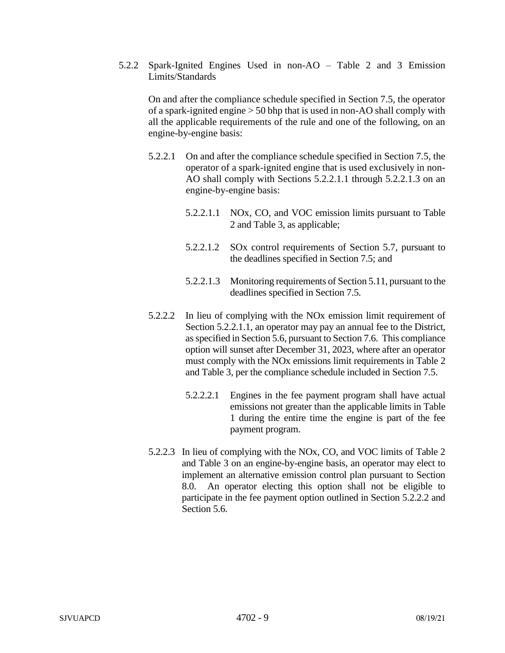5.2.2 Spark-Ignited Engines Used in non-AO – Table 2 and 3 Emission Limits/Standards

On and after the compliance schedule specified in Section 7.5, the operator of a spark-ignited engine > 50 bhp that is used in non-AO shall comply with all the applicable requirements of the rule and one of the following, on an engine-by-engine basis:

- 5.2.2.1 On and after the compliance schedule specified in Section 7.5, the operator of a spark-ignited engine that is used exclusively in non-AO shall comply with Sections 5.2.2.1.1 through 5.2.2.1.3 on an engine-by-engine basis:
	- 5.2.2.1.1 NOx, CO, and VOC emission limits pursuant to Table 2 and Table 3, as applicable;
	- 5.2.2.1.2 SOx control requirements of Section 5.7, pursuant to the deadlines specified in Section 7.5; and
	- 5.2.2.1.3 Monitoring requirements of Section 5.11, pursuant to the deadlines specified in Section 7.5.
- 5.2.2.2 In lieu of complying with the NOx emission limit requirement of Section 5.2.2.1.1, an operator may pay an annual fee to the District, as specified in Section 5.6, pursuant to Section 7.6. This compliance option will sunset after December 31, 2023, where after an operator must comply with the NOx emissions limit requirements in Table 2 and Table 3, per the compliance schedule included in Section 7.5.
	- 5.2.2.2.1 Engines in the fee payment program shall have actual emissions not greater than the applicable limits in Table 1 during the entire time the engine is part of the fee payment program.
- 5.2.2.3 In lieu of complying with the NOx, CO, and VOC limits of Table 2 and Table 3 on an engine-by-engine basis, an operator may elect to implement an alternative emission control plan pursuant to Section 8.0. An operator electing this option shall not be eligible to participate in the fee payment option outlined in Section 5.2.2.2 and Section 5.6.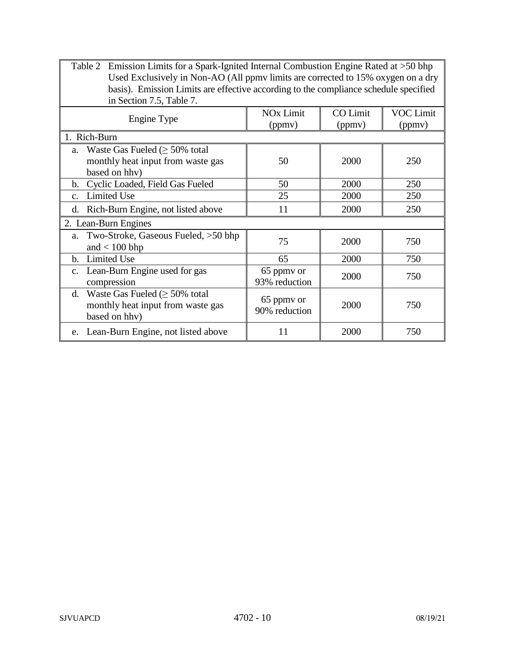| Emission Limits for a Spark-Ignited Internal Combustion Engine Rated at $>50$ bhp<br>Table 2<br>Used Exclusively in Non-AO (All ppmv limits are corrected to 15% oxygen on a dry<br>basis). Emission Limits are effective according to the compliance schedule specified<br>in Section 7.5, Table 7. |                                       |                           |                            |  |
|------------------------------------------------------------------------------------------------------------------------------------------------------------------------------------------------------------------------------------------------------------------------------------------------------|---------------------------------------|---------------------------|----------------------------|--|
| Engine Type                                                                                                                                                                                                                                                                                          | <b>NO<sub>x</sub></b> Limit<br>(ppmv) | <b>CO</b> Limit<br>(ppmv) | <b>VOC Limit</b><br>(ppmv) |  |
| 1. Rich-Burn                                                                                                                                                                                                                                                                                         |                                       |                           |                            |  |
| a. Waste Gas Fueled $( \geq 50\%$ total<br>monthly heat input from waste gas<br>based on hhv)                                                                                                                                                                                                        | 50                                    | 2000                      | 250                        |  |
| Cyclic Loaded, Field Gas Fueled<br>b.                                                                                                                                                                                                                                                                | 50                                    | 2000                      | 250                        |  |
| <b>Limited Use</b><br>C <sub>1</sub>                                                                                                                                                                                                                                                                 | 25                                    | 2000                      | 250                        |  |
| Rich-Burn Engine, not listed above<br>d.                                                                                                                                                                                                                                                             | 11                                    | 2000                      | 250                        |  |
| 2. Lean-Burn Engines                                                                                                                                                                                                                                                                                 |                                       |                           |                            |  |
| Two-Stroke, Gaseous Fueled, >50 bhp<br>a.<br>and $< 100$ bhp                                                                                                                                                                                                                                         | 75                                    | 2000                      | 750                        |  |
| <b>Limited Use</b><br>$\mathbf{b}$ .                                                                                                                                                                                                                                                                 | 65                                    | 2000                      | 750                        |  |
| c. Lean-Burn Engine used for gas<br>compression                                                                                                                                                                                                                                                      | 65 ppmy or<br>93% reduction           | 2000                      | 750                        |  |
| Waste Gas Fueled ( $\geq$ 50% total<br>d.<br>monthly heat input from waste gas<br>based on hhv)                                                                                                                                                                                                      | 65 ppmy or<br>90% reduction           | 2000                      | 750                        |  |
| e. Lean-Burn Engine, not listed above                                                                                                                                                                                                                                                                | 11                                    | 2000                      | 750                        |  |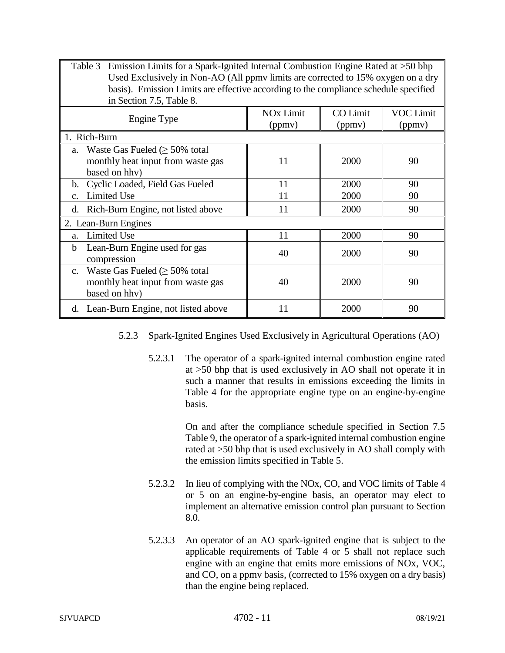| Emission Limits for a Spark-Ignited Internal Combustion Engine Rated at $>50$ bhp<br>Table 3<br>Used Exclusively in Non-AO (All ppmv limits are corrected to 15% oxygen on a dry<br>basis). Emission Limits are effective according to the compliance schedule specified<br>in Section 7.5, Table 8. |                                       |                    |                            |  |
|------------------------------------------------------------------------------------------------------------------------------------------------------------------------------------------------------------------------------------------------------------------------------------------------------|---------------------------------------|--------------------|----------------------------|--|
| Engine Type                                                                                                                                                                                                                                                                                          | <b>NO<sub>x</sub></b> Limit<br>(ppmv) | CO Limit<br>(ppmv) | <b>VOC Limit</b><br>(ppmv) |  |
| 1. Rich-Burn                                                                                                                                                                                                                                                                                         |                                       |                    |                            |  |
| Waste Gas Fueled $( \geq 50\%$ total<br>a.<br>monthly heat input from waste gas<br>based on hhv)                                                                                                                                                                                                     | 11                                    | 2000               | 90                         |  |
| Cyclic Loaded, Field Gas Fueled<br>b.                                                                                                                                                                                                                                                                | 11                                    | 2000               | 90                         |  |
| <b>Limited Use</b><br>$C_{\star}$                                                                                                                                                                                                                                                                    | 11                                    | 2000               | 90                         |  |
| Rich-Burn Engine, not listed above<br>d.                                                                                                                                                                                                                                                             | 11                                    | 2000               | 90                         |  |
| 2. Lean-Burn Engines                                                                                                                                                                                                                                                                                 |                                       |                    |                            |  |
| <b>Limited Use</b><br>a.                                                                                                                                                                                                                                                                             | 11                                    | 2000               | 90                         |  |
| Lean-Burn Engine used for gas<br>b<br>compression                                                                                                                                                                                                                                                    | 40                                    | 2000               | 90                         |  |
| c. Waste Gas Fueled $\geq 50\%$ total<br>monthly heat input from waste gas<br>based on hhv)                                                                                                                                                                                                          | 40                                    | 2000               | 90                         |  |
| d. Lean-Burn Engine, not listed above                                                                                                                                                                                                                                                                | 11                                    | 2000               | 90                         |  |

- 5.2.3 Spark-Ignited Engines Used Exclusively in Agricultural Operations (AO)
	- 5.2.3.1 The operator of a spark-ignited internal combustion engine rated at >50 bhp that is used exclusively in AO shall not operate it in such a manner that results in emissions exceeding the limits in Table 4 for the appropriate engine type on an engine-by-engine basis.

On and after the compliance schedule specified in Section 7.5 Table 9, the operator of a spark-ignited internal combustion engine rated at >50 bhp that is used exclusively in AO shall comply with the emission limits specified in Table 5.

- 5.2.3.2 In lieu of complying with the NOx, CO, and VOC limits of Table 4 or 5 on an engine-by-engine basis, an operator may elect to implement an alternative emission control plan pursuant to Section 8.0.
- 5.2.3.3 An operator of an AO spark-ignited engine that is subject to the applicable requirements of Table 4 or 5 shall not replace such engine with an engine that emits more emissions of NOx, VOC, and CO, on a ppmv basis, (corrected to 15% oxygen on a dry basis) than the engine being replaced.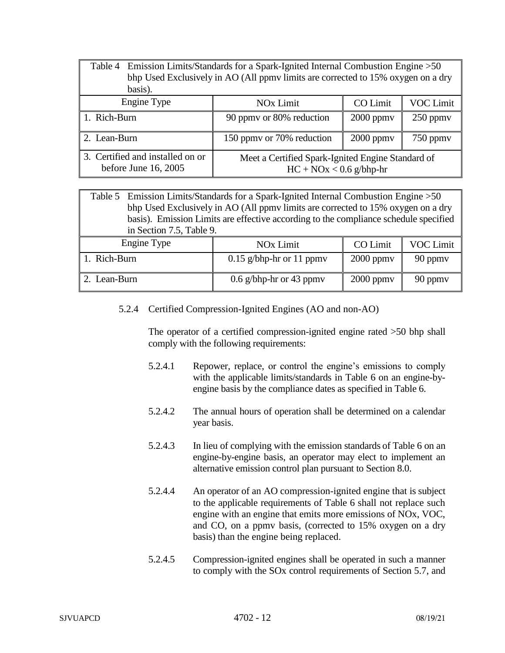| Table 4 Emission Limits/Standards for a Spark-Ignited Internal Combustion Engine > 50<br>bhp Used Exclusively in AO (All ppmy limits are corrected to 15% oxygen on a dry<br>basis). |                                                                                |  |  |  |
|--------------------------------------------------------------------------------------------------------------------------------------------------------------------------------------|--------------------------------------------------------------------------------|--|--|--|
| Engine Type                                                                                                                                                                          | <b>CO</b> Limit<br><b>VOC Limit</b><br><b>NO<sub>x</sub></b> Limit             |  |  |  |
| 1. Rich-Burn                                                                                                                                                                         | 90 ppmy or 80% reduction<br>$2000$ ppm $v$<br>$250$ ppmy                       |  |  |  |
| 2. Lean-Burn                                                                                                                                                                         | 150 ppmy or 70% reduction<br>$2000$ ppm $v$<br>$750$ ppm $v$                   |  |  |  |
| 3. Certified and installed on or<br>before June $16, 2005$                                                                                                                           | Meet a Certified Spark-Ignited Engine Standard of<br>$HC + NOx < 0.6$ g/bhp-hr |  |  |  |

Table 5 Emission Limits/Standards for a Spark-Ignited Internal Combustion Engine >50 bhp Used Exclusively in AO (All ppmv limits are corrected to 15% oxygen on a dry basis). Emission Limits are effective according to the compliance schedule specified in Section 7.5, Table 9.

| Engine Type  | <b>NO<sub>x</sub></b> Limit | CO Limit       | <b>VOC Limit</b> |
|--------------|-----------------------------|----------------|------------------|
| Rich-Burn    | $0.15$ g/bhp-hr or 11 ppmv  | $2000$ ppm $v$ | 90 ppmy          |
| 2. Lean-Burn | 0.6 g/bhp-hr or 43 ppmy     | $2000$ ppm $v$ | 90 ppmy          |

5.2.4 Certified Compression-Ignited Engines (AO and non-AO)

The operator of a certified compression-ignited engine rated >50 bhp shall comply with the following requirements:

- 5.2.4.1 Repower, replace, or control the engine's emissions to comply with the applicable limits/standards in Table 6 on an engine-byengine basis by the compliance dates as specified in Table 6.
- 5.2.4.2 The annual hours of operation shall be determined on a calendar year basis.
- 5.2.4.3 In lieu of complying with the emission standards of Table 6 on an engine-by-engine basis, an operator may elect to implement an alternative emission control plan pursuant to Section 8.0.
- 5.2.4.4 An operator of an AO compression-ignited engine that is subject to the applicable requirements of Table 6 shall not replace such engine with an engine that emits more emissions of NOx, VOC, and CO, on a ppmv basis, (corrected to 15% oxygen on a dry basis) than the engine being replaced.
- 5.2.4.5 Compression-ignited engines shall be operated in such a manner to comply with the SOx control requirements of Section 5.7, and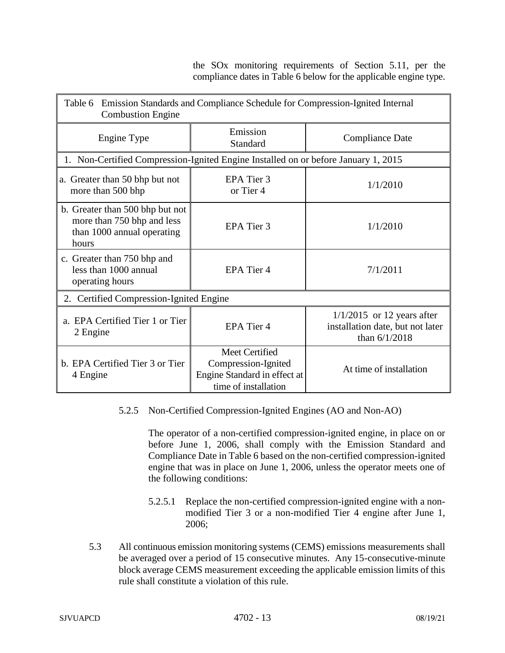the SOx monitoring requirements of Section 5.11, per the compliance dates in Table 6 below for the applicable engine type.

| Table 6 Emission Standards and Compliance Schedule for Compression-Ignited Internal<br><b>Combustion Engine</b> |                                                                                               |                                                                                     |  |  |
|-----------------------------------------------------------------------------------------------------------------|-----------------------------------------------------------------------------------------------|-------------------------------------------------------------------------------------|--|--|
| Engine Type                                                                                                     | Emission<br>Standard                                                                          | <b>Compliance Date</b>                                                              |  |  |
| 1. Non-Certified Compression-Ignited Engine Installed on or before January 1, 2015                              |                                                                                               |                                                                                     |  |  |
| a. Greater than 50 bhp but not<br>more than 500 bhp                                                             | EPA Tier 3<br>or Tier 4                                                                       | 1/1/2010                                                                            |  |  |
| b. Greater than 500 bhp but not<br>more than 750 bhp and less<br>than 1000 annual operating<br>hours            | EPA Tier 3                                                                                    | 1/1/2010                                                                            |  |  |
| c. Greater than 750 bhp and<br>less than 1000 annual<br>operating hours                                         | EPA Tier 4                                                                                    | 7/1/2011                                                                            |  |  |
| 2. Certified Compression-Ignited Engine                                                                         |                                                                                               |                                                                                     |  |  |
| a. EPA Certified Tier 1 or Tier<br>2 Engine                                                                     | EPA Tier 4                                                                                    | $1/1/2015$ or 12 years after<br>installation date, but not later<br>than $6/1/2018$ |  |  |
| b. EPA Certified Tier 3 or Tier<br>4 Engine                                                                     | Meet Certified<br>Compression-Ignited<br>Engine Standard in effect at<br>time of installation | At time of installation                                                             |  |  |

# 5.2.5 Non-Certified Compression-Ignited Engines (AO and Non-AO)

The operator of a non-certified compression-ignited engine, in place on or before June 1, 2006, shall comply with the Emission Standard and Compliance Date in Table 6 based on the non-certified compression-ignited engine that was in place on June 1, 2006, unless the operator meets one of the following conditions:

- 5.2.5.1 Replace the non-certified compression-ignited engine with a nonmodified Tier 3 or a non-modified Tier 4 engine after June 1, 2006;
- 5.3 All continuous emission monitoring systems (CEMS) emissions measurements shall be averaged over a period of 15 consecutive minutes. Any 15-consecutive-minute block average CEMS measurement exceeding the applicable emission limits of this rule shall constitute a violation of this rule.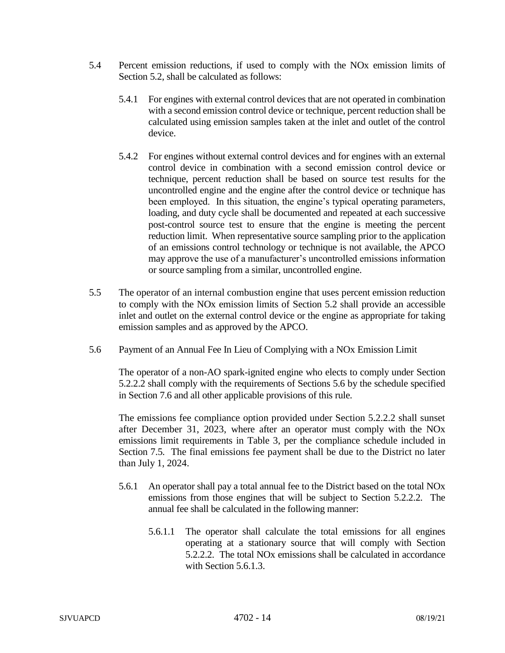- 5.4 Percent emission reductions, if used to comply with the NOx emission limits of Section 5.2, shall be calculated as follows:
	- 5.4.1 For engines with external control devices that are not operated in combination with a second emission control device or technique, percent reduction shall be calculated using emission samples taken at the inlet and outlet of the control device.
	- 5.4.2 For engines without external control devices and for engines with an external control device in combination with a second emission control device or technique, percent reduction shall be based on source test results for the uncontrolled engine and the engine after the control device or technique has been employed. In this situation, the engine's typical operating parameters, loading, and duty cycle shall be documented and repeated at each successive post-control source test to ensure that the engine is meeting the percent reduction limit. When representative source sampling prior to the application of an emissions control technology or technique is not available, the APCO may approve the use of a manufacturer's uncontrolled emissions information or source sampling from a similar, uncontrolled engine.
- 5.5 The operator of an internal combustion engine that uses percent emission reduction to comply with the NOx emission limits of Section 5.2 shall provide an accessible inlet and outlet on the external control device or the engine as appropriate for taking emission samples and as approved by the APCO.
- 5.6 Payment of an Annual Fee In Lieu of Complying with a NOx Emission Limit

The operator of a non-AO spark-ignited engine who elects to comply under Section 5.2.2.2 shall comply with the requirements of Sections 5.6 by the schedule specified in Section 7.6 and all other applicable provisions of this rule.

The emissions fee compliance option provided under Section 5.2.2.2 shall sunset after December 31, 2023, where after an operator must comply with the NOx emissions limit requirements in Table 3, per the compliance schedule included in Section 7.5. The final emissions fee payment shall be due to the District no later than July 1, 2024.

- 5.6.1 An operator shall pay a total annual fee to the District based on the total NOx emissions from those engines that will be subject to Section 5.2.2.2. The annual fee shall be calculated in the following manner:
	- 5.6.1.1 The operator shall calculate the total emissions for all engines operating at a stationary source that will comply with Section 5.2.2.2. The total NOx emissions shall be calculated in accordance with Section 5.6.1.3.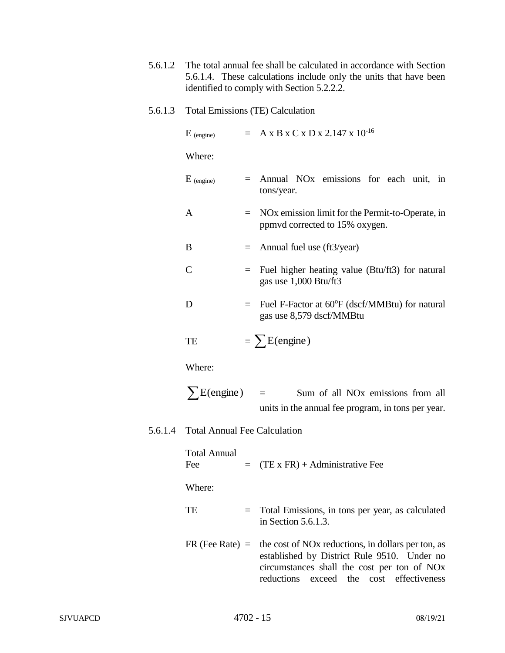- 5.6.1.2 The total annual fee shall be calculated in accordance with Section 5.6.1.4. These calculations include only the units that have been identified to comply with Section 5.2.2.2.
- 5.6.1.3 Total Emissions (TE) Calculation

| $E_{(engine)}$                      |     | $= A x B x C x D x 2.147 x 10^{-16}$                                                                |  |  |
|-------------------------------------|-----|-----------------------------------------------------------------------------------------------------|--|--|
| Where:                              |     |                                                                                                     |  |  |
| $E_{(engine)}$                      | $=$ | Annual NO <sub>x</sub> emissions for each unit, in<br>tons/year.                                    |  |  |
| A                                   | $=$ | NO <sub>x</sub> emission limit for the Permit-to-Operate, in<br>ppmvd corrected to 15% oxygen.      |  |  |
| B                                   | $=$ | Annual fuel use (ft3/year)                                                                          |  |  |
| C                                   | $=$ | Fuel higher heating value (Btu/ft3) for natural<br>gas use 1,000 Btu/ft3                            |  |  |
| D                                   | $=$ | Fuel F-Factor at 60°F (dscf/MMBtu) for natural<br>gas use 8,579 dscf/MMBtu                          |  |  |
| TE                                  |     | $= \sum E$ (engine)                                                                                 |  |  |
| Where:                              |     |                                                                                                     |  |  |
| $\sum E$ (engine) =                 |     | Sum of all NO <sub>x</sub> emissions from all<br>units in the annual fee program, in tons per year. |  |  |
| <b>Total Annual Fee Calculation</b> |     |                                                                                                     |  |  |
| <b>Total Annual</b><br>Fee          |     | $=$ (TE x FR) + Administrative Fee                                                                  |  |  |
| Where:                              |     |                                                                                                     |  |  |
| TE                                  | $=$ | Total Emissions, in tons per year, as calculated<br>in Section $5.6.1.3$ .                          |  |  |
|                                     |     | $FR$ (Fee Rate) = the cost of NOx reductions, in dollars per ton, as                                |  |  |

established by District Rule 9510. Under no circumstances shall the cost per ton of NOx reductions exceed the cost effectiveness

 $5.6.1.4$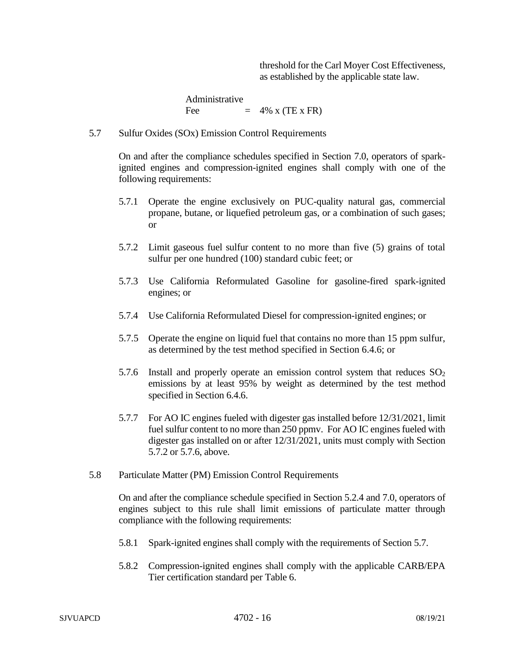threshold for the Carl Moyer Cost Effectiveness, as established by the applicable state law.

Administrative Fee  $= 4\% \times (TE \times FR)$ 

5.7 Sulfur Oxides (SOx) Emission Control Requirements

On and after the compliance schedules specified in Section 7.0, operators of sparkignited engines and compression-ignited engines shall comply with one of the following requirements:

- 5.7.1 Operate the engine exclusively on PUC-quality natural gas, commercial propane, butane, or liquefied petroleum gas, or a combination of such gases; or
- 5.7.2 Limit gaseous fuel sulfur content to no more than five (5) grains of total sulfur per one hundred (100) standard cubic feet; or
- 5.7.3 Use California Reformulated Gasoline for gasoline-fired spark-ignited engines; or
- 5.7.4 Use California Reformulated Diesel for compression-ignited engines; or
- 5.7.5 Operate the engine on liquid fuel that contains no more than 15 ppm sulfur, as determined by the test method specified in Section 6.4.6; or
- 5.7.6 Install and properly operate an emission control system that reduces  $SO<sub>2</sub>$ emissions by at least 95% by weight as determined by the test method specified in Section 6.4.6.
- 5.7.7 For AO IC engines fueled with digester gas installed before 12/31/2021, limit fuel sulfur content to no more than 250 ppmv. For AO IC engines fueled with digester gas installed on or after 12/31/2021, units must comply with Section 5.7.2 or 5.7.6, above.
- 5.8 Particulate Matter (PM) Emission Control Requirements

On and after the compliance schedule specified in Section 5.2.4 and 7.0, operators of engines subject to this rule shall limit emissions of particulate matter through compliance with the following requirements:

- 5.8.1 Spark-ignited engines shall comply with the requirements of Section 5.7.
- 5.8.2 Compression-ignited engines shall comply with the applicable CARB/EPA Tier certification standard per Table 6.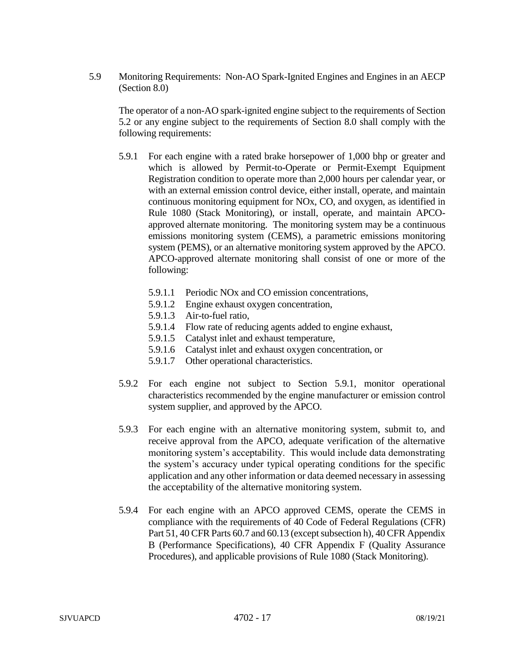5.9 Monitoring Requirements: Non-AO Spark-Ignited Engines and Engines in an AECP (Section 8.0)

The operator of a non-AO spark-ignited engine subject to the requirements of Section 5.2 or any engine subject to the requirements of Section 8.0 shall comply with the following requirements:

- 5.9.1 For each engine with a rated brake horsepower of 1,000 bhp or greater and which is allowed by Permit-to-Operate or Permit-Exempt Equipment Registration condition to operate more than 2,000 hours per calendar year, or with an external emission control device, either install, operate, and maintain continuous monitoring equipment for NOx, CO, and oxygen, as identified in Rule 1080 (Stack Monitoring), or install, operate, and maintain APCOapproved alternate monitoring. The monitoring system may be a continuous emissions monitoring system (CEMS), a parametric emissions monitoring system (PEMS), or an alternative monitoring system approved by the APCO. APCO-approved alternate monitoring shall consist of one or more of the following:
	- 5.9.1.1 Periodic NOx and CO emission concentrations,
	- 5.9.1.2 Engine exhaust oxygen concentration,
	- 5.9.1.3 Air-to-fuel ratio,
	- 5.9.1.4 Flow rate of reducing agents added to engine exhaust,
	- 5.9.1.5 Catalyst inlet and exhaust temperature,
	- 5.9.1.6 Catalyst inlet and exhaust oxygen concentration, or
	- 5.9.1.7 Other operational characteristics.
- 5.9.2 For each engine not subject to Section 5.9.1, monitor operational characteristics recommended by the engine manufacturer or emission control system supplier, and approved by the APCO.
- 5.9.3 For each engine with an alternative monitoring system, submit to, and receive approval from the APCO, adequate verification of the alternative monitoring system's acceptability. This would include data demonstrating the system's accuracy under typical operating conditions for the specific application and any other information or data deemed necessary in assessing the acceptability of the alternative monitoring system.
- 5.9.4 For each engine with an APCO approved CEMS, operate the CEMS in compliance with the requirements of 40 Code of Federal Regulations (CFR) Part 51, 40 CFR Parts 60.7 and 60.13 (except subsection h), 40 CFR Appendix B (Performance Specifications), 40 CFR Appendix F (Quality Assurance Procedures), and applicable provisions of Rule 1080 (Stack Monitoring).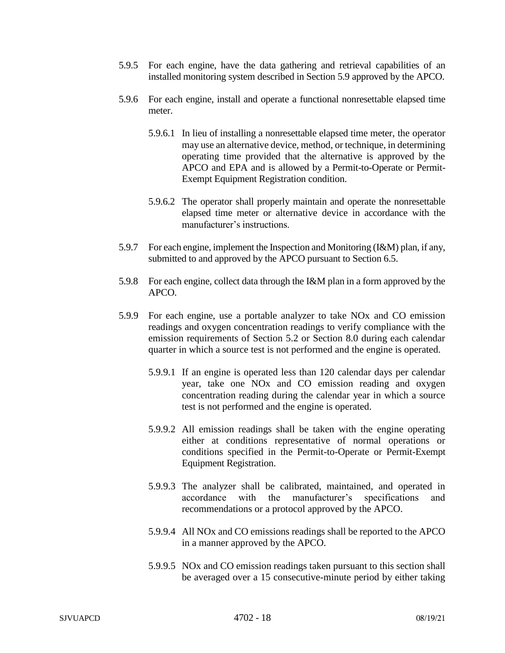- 5.9.5 For each engine, have the data gathering and retrieval capabilities of an installed monitoring system described in Section 5.9 approved by the APCO.
- 5.9.6 For each engine, install and operate a functional nonresettable elapsed time meter.
	- 5.9.6.1 In lieu of installing a nonresettable elapsed time meter, the operator may use an alternative device, method, or technique, in determining operating time provided that the alternative is approved by the APCO and EPA and is allowed by a Permit-to-Operate or Permit-Exempt Equipment Registration condition.
	- 5.9.6.2 The operator shall properly maintain and operate the nonresettable elapsed time meter or alternative device in accordance with the manufacturer's instructions.
- 5.9.7 For each engine, implement the Inspection and Monitoring (I&M) plan, if any, submitted to and approved by the APCO pursuant to Section 6.5.
- 5.9.8 For each engine, collect data through the I&M plan in a form approved by the APCO.
- 5.9.9 For each engine, use a portable analyzer to take NOx and CO emission readings and oxygen concentration readings to verify compliance with the emission requirements of Section 5.2 or Section 8.0 during each calendar quarter in which a source test is not performed and the engine is operated.
	- 5.9.9.1 If an engine is operated less than 120 calendar days per calendar year, take one NOx and CO emission reading and oxygen concentration reading during the calendar year in which a source test is not performed and the engine is operated.
	- 5.9.9.2 All emission readings shall be taken with the engine operating either at conditions representative of normal operations or conditions specified in the Permit-to-Operate or Permit-Exempt Equipment Registration.
	- 5.9.9.3 The analyzer shall be calibrated, maintained, and operated in accordance with the manufacturer's specifications and recommendations or a protocol approved by the APCO.
	- 5.9.9.4 All NOx and CO emissions readings shall be reported to the APCO in a manner approved by the APCO.
	- 5.9.9.5 NOx and CO emission readings taken pursuant to this section shall be averaged over a 15 consecutive-minute period by either taking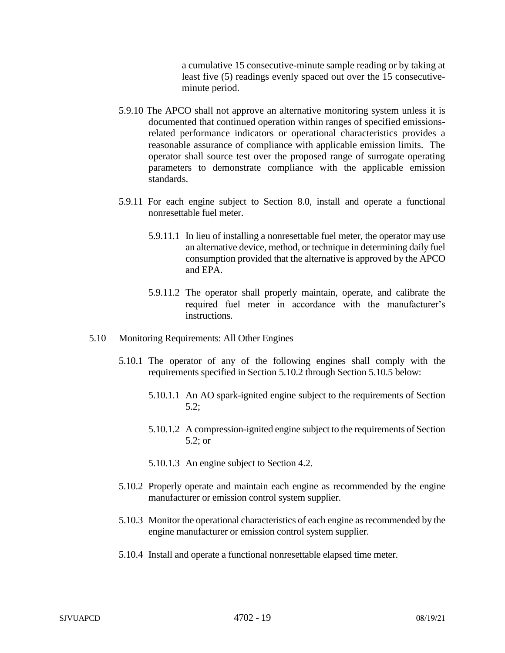a cumulative 15 consecutive-minute sample reading or by taking at least five (5) readings evenly spaced out over the 15 consecutiveminute period.

- 5.9.10 The APCO shall not approve an alternative monitoring system unless it is documented that continued operation within ranges of specified emissionsrelated performance indicators or operational characteristics provides a reasonable assurance of compliance with applicable emission limits. The operator shall source test over the proposed range of surrogate operating parameters to demonstrate compliance with the applicable emission standards.
- 5.9.11 For each engine subject to Section 8.0, install and operate a functional nonresettable fuel meter.
	- 5.9.11.1 In lieu of installing a nonresettable fuel meter, the operator may use an alternative device, method, or technique in determining daily fuel consumption provided that the alternative is approved by the APCO and EPA.
	- 5.9.11.2 The operator shall properly maintain, operate, and calibrate the required fuel meter in accordance with the manufacturer's instructions.
- 5.10 Monitoring Requirements: All Other Engines
	- 5.10.1 The operator of any of the following engines shall comply with the requirements specified in Section 5.10.2 through Section 5.10.5 below:
		- 5.10.1.1 An AO spark-ignited engine subject to the requirements of Section 5.2;
		- 5.10.1.2 A compression-ignited engine subject to the requirements of Section 5.2; or
		- 5.10.1.3 An engine subject to Section 4.2.
	- 5.10.2 Properly operate and maintain each engine as recommended by the engine manufacturer or emission control system supplier.
	- 5.10.3 Monitor the operational characteristics of each engine as recommended by the engine manufacturer or emission control system supplier.
	- 5.10.4 Install and operate a functional nonresettable elapsed time meter.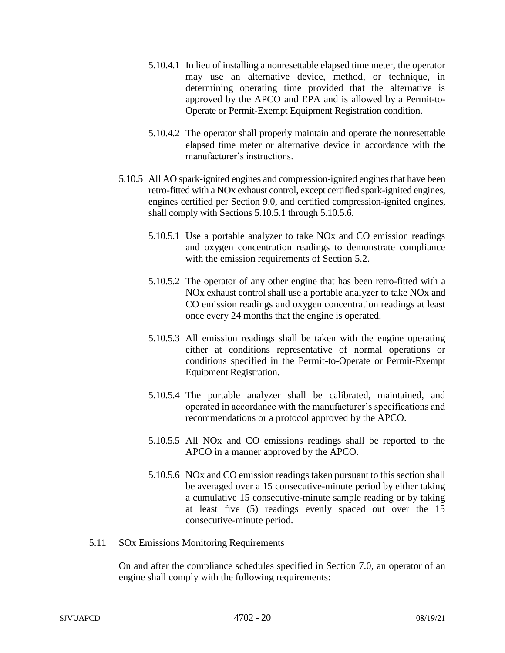- 5.10.4.1 In lieu of installing a nonresettable elapsed time meter, the operator may use an alternative device, method, or technique, in determining operating time provided that the alternative is approved by the APCO and EPA and is allowed by a Permit-to-Operate or Permit-Exempt Equipment Registration condition.
- 5.10.4.2 The operator shall properly maintain and operate the nonresettable elapsed time meter or alternative device in accordance with the manufacturer's instructions.
- 5.10.5 All AO spark-ignited engines and compression-ignited engines that have been retro-fitted with a NOx exhaust control, except certified spark-ignited engines, engines certified per Section 9.0, and certified compression-ignited engines, shall comply with Sections 5.10.5.1 through 5.10.5.6.
	- 5.10.5.1 Use a portable analyzer to take NOx and CO emission readings and oxygen concentration readings to demonstrate compliance with the emission requirements of Section 5.2.
	- 5.10.5.2 The operator of any other engine that has been retro-fitted with a NOx exhaust control shall use a portable analyzer to take NOx and CO emission readings and oxygen concentration readings at least once every 24 months that the engine is operated.
	- 5.10.5.3 All emission readings shall be taken with the engine operating either at conditions representative of normal operations or conditions specified in the Permit-to-Operate or Permit-Exempt Equipment Registration.
	- 5.10.5.4 The portable analyzer shall be calibrated, maintained, and operated in accordance with the manufacturer's specifications and recommendations or a protocol approved by the APCO.
	- 5.10.5.5 All NOx and CO emissions readings shall be reported to the APCO in a manner approved by the APCO.
	- 5.10.5.6 NOx and CO emission readings taken pursuant to this section shall be averaged over a 15 consecutive-minute period by either taking a cumulative 15 consecutive-minute sample reading or by taking at least five (5) readings evenly spaced out over the 15 consecutive-minute period.
- 5.11 SOx Emissions Monitoring Requirements

On and after the compliance schedules specified in Section 7.0, an operator of an engine shall comply with the following requirements: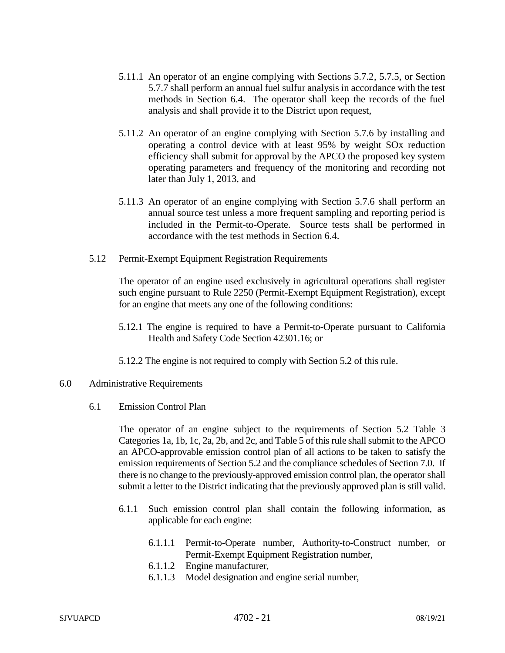- 5.11.1 An operator of an engine complying with Sections 5.7.2, 5.7.5, or Section 5.7.7 shall perform an annual fuel sulfur analysis in accordance with the test methods in Section 6.4. The operator shall keep the records of the fuel analysis and shall provide it to the District upon request,
- 5.11.2 An operator of an engine complying with Section 5.7.6 by installing and operating a control device with at least 95% by weight SOx reduction efficiency shall submit for approval by the APCO the proposed key system operating parameters and frequency of the monitoring and recording not later than July 1, 2013, and
- 5.11.3 An operator of an engine complying with Section 5.7.6 shall perform an annual source test unless a more frequent sampling and reporting period is included in the Permit-to-Operate. Source tests shall be performed in accordance with the test methods in Section 6.4.
- 5.12 Permit-Exempt Equipment Registration Requirements

The operator of an engine used exclusively in agricultural operations shall register such engine pursuant to Rule 2250 (Permit-Exempt Equipment Registration), except for an engine that meets any one of the following conditions:

- 5.12.1 The engine is required to have a Permit-to-Operate pursuant to California Health and Safety Code Section 42301.16; or
- 5.12.2 The engine is not required to comply with Section 5.2 of this rule.

#### 6.0 Administrative Requirements

6.1 Emission Control Plan

The operator of an engine subject to the requirements of Section 5.2 Table 3 Categories 1a, 1b, 1c, 2a, 2b, and 2c, and Table 5 of this rule shall submit to the APCO an APCO-approvable emission control plan of all actions to be taken to satisfy the emission requirements of Section 5.2 and the compliance schedules of Section 7.0. If there is no change to the previously-approved emission control plan, the operator shall submit a letter to the District indicating that the previously approved plan is still valid.

- 6.1.1 Such emission control plan shall contain the following information, as applicable for each engine:
	- 6.1.1.1 Permit-to-Operate number, Authority-to-Construct number, or Permit-Exempt Equipment Registration number,
	- 6.1.1.2 Engine manufacturer,
	- 6.1.1.3 Model designation and engine serial number,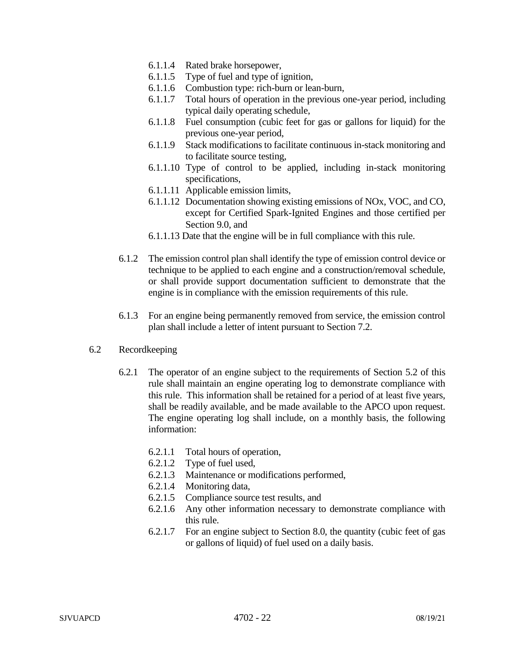- 6.1.1.4 Rated brake horsepower,
- 6.1.1.5 Type of fuel and type of ignition,
- 6.1.1.6 Combustion type: rich-burn or lean-burn,
- 6.1.1.7 Total hours of operation in the previous one-year period, including typical daily operating schedule,
- 6.1.1.8 Fuel consumption (cubic feet for gas or gallons for liquid) for the previous one-year period,
- 6.1.1.9 Stack modifications to facilitate continuous in-stack monitoring and to facilitate source testing,
- 6.1.1.10 Type of control to be applied, including in-stack monitoring specifications,
- 6.1.1.11 Applicable emission limits,
- 6.1.1.12 Documentation showing existing emissions of NOx, VOC, and CO, except for Certified Spark-Ignited Engines and those certified per Section 9.0, and
- 6.1.1.13 Date that the engine will be in full compliance with this rule.
- 6.1.2 The emission control plan shall identify the type of emission control device or technique to be applied to each engine and a construction/removal schedule, or shall provide support documentation sufficient to demonstrate that the engine is in compliance with the emission requirements of this rule.
- 6.1.3 For an engine being permanently removed from service, the emission control plan shall include a letter of intent pursuant to Section 7.2.

# 6.2 Recordkeeping

- 6.2.1 The operator of an engine subject to the requirements of Section 5.2 of this rule shall maintain an engine operating log to demonstrate compliance with this rule. This information shall be retained for a period of at least five years, shall be readily available, and be made available to the APCO upon request. The engine operating log shall include, on a monthly basis, the following information:
	- 6.2.1.1 Total hours of operation,
	- 6.2.1.2 Type of fuel used,
	- 6.2.1.3 Maintenance or modifications performed,
	- 6.2.1.4 Monitoring data,
	- 6.2.1.5 Compliance source test results, and
	- 6.2.1.6 Any other information necessary to demonstrate compliance with this rule.
	- 6.2.1.7 For an engine subject to Section 8.0, the quantity (cubic feet of gas or gallons of liquid) of fuel used on a daily basis.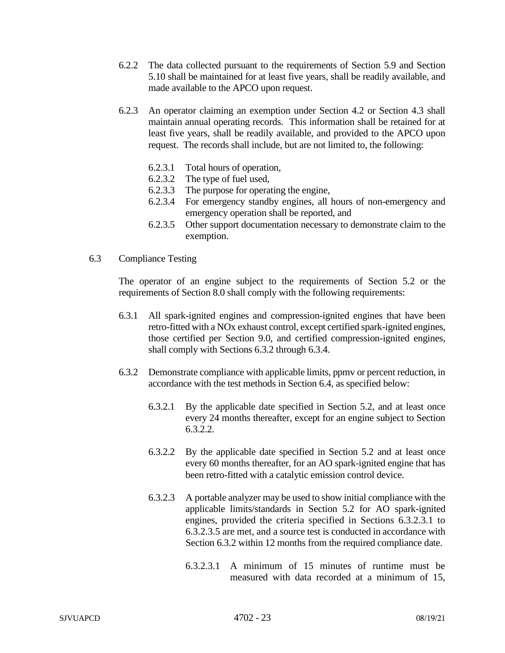- 6.2.2 The data collected pursuant to the requirements of Section 5.9 and Section 5.10 shall be maintained for at least five years, shall be readily available, and made available to the APCO upon request.
- 6.2.3 An operator claiming an exemption under Section 4.2 or Section 4.3 shall maintain annual operating records. This information shall be retained for at least five years, shall be readily available, and provided to the APCO upon request. The records shall include, but are not limited to, the following:
	- 6.2.3.1 Total hours of operation,
	- 6.2.3.2 The type of fuel used,
	- 6.2.3.3 The purpose for operating the engine,
	- 6.2.3.4 For emergency standby engines, all hours of non-emergency and emergency operation shall be reported, and
	- 6.2.3.5 Other support documentation necessary to demonstrate claim to the exemption.
- 6.3 Compliance Testing

The operator of an engine subject to the requirements of Section 5.2 or the requirements of Section 8.0 shall comply with the following requirements:

- 6.3.1 All spark-ignited engines and compression-ignited engines that have been retro-fitted with a NOx exhaust control, except certified spark-ignited engines, those certified per Section 9.0, and certified compression-ignited engines, shall comply with Sections 6.3.2 through 6.3.4.
- 6.3.2 Demonstrate compliance with applicable limits, ppmv or percent reduction, in accordance with the test methods in Section 6.4, as specified below:
	- 6.3.2.1 By the applicable date specified in Section 5.2, and at least once every 24 months thereafter, except for an engine subject to Section 6.3.2.2.
	- 6.3.2.2 By the applicable date specified in Section 5.2 and at least once every 60 months thereafter, for an AO spark-ignited engine that has been retro-fitted with a catalytic emission control device.
	- 6.3.2.3 A portable analyzer may be used to show initial compliance with the applicable limits/standards in Section 5.2 for AO spark-ignited engines, provided the criteria specified in Sections 6.3.2.3.1 to 6.3.2.3.5 are met, and a source test is conducted in accordance with Section 6.3.2 within 12 months from the required compliance date.
		- 6.3.2.3.1 A minimum of 15 minutes of runtime must be measured with data recorded at a minimum of 15,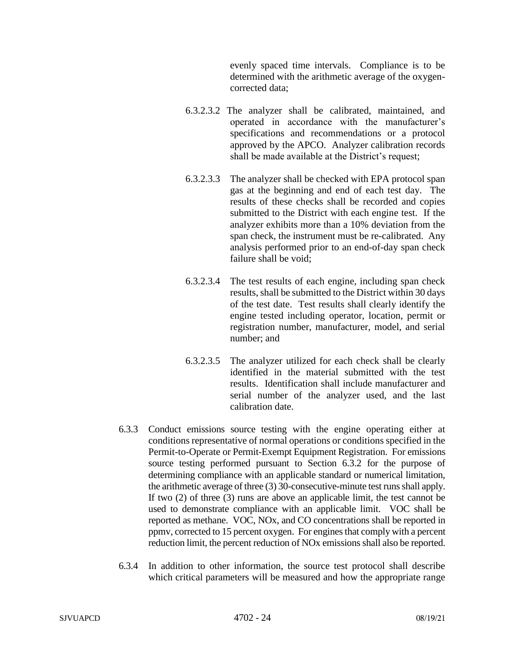evenly spaced time intervals. Compliance is to be determined with the arithmetic average of the oxygencorrected data;

- 6.3.2.3.2 The analyzer shall be calibrated, maintained, and operated in accordance with the manufacturer's specifications and recommendations or a protocol approved by the APCO. Analyzer calibration records shall be made available at the District's request;
- 6.3.2.3.3 The analyzer shall be checked with EPA protocol span gas at the beginning and end of each test day. The results of these checks shall be recorded and copies submitted to the District with each engine test. If the analyzer exhibits more than a 10% deviation from the span check, the instrument must be re-calibrated. Any analysis performed prior to an end-of-day span check failure shall be void;
- 6.3.2.3.4 The test results of each engine, including span check results, shall be submitted to the District within 30 days of the test date. Test results shall clearly identify the engine tested including operator, location, permit or registration number, manufacturer, model, and serial number; and
- 6.3.2.3.5 The analyzer utilized for each check shall be clearly identified in the material submitted with the test results. Identification shall include manufacturer and serial number of the analyzer used, and the last calibration date.
- 6.3.3 Conduct emissions source testing with the engine operating either at conditions representative of normal operations or conditions specified in the Permit-to-Operate or Permit-Exempt Equipment Registration. For emissions source testing performed pursuant to Section 6.3.2 for the purpose of determining compliance with an applicable standard or numerical limitation, the arithmetic average of three (3) 30-consecutive-minute test runs shall apply. If two (2) of three (3) runs are above an applicable limit, the test cannot be used to demonstrate compliance with an applicable limit. VOC shall be reported as methane. VOC, NOx, and CO concentrations shall be reported in ppmv, corrected to 15 percent oxygen. For engines that comply with a percent reduction limit, the percent reduction of NOx emissions shall also be reported.
- 6.3.4 In addition to other information, the source test protocol shall describe which critical parameters will be measured and how the appropriate range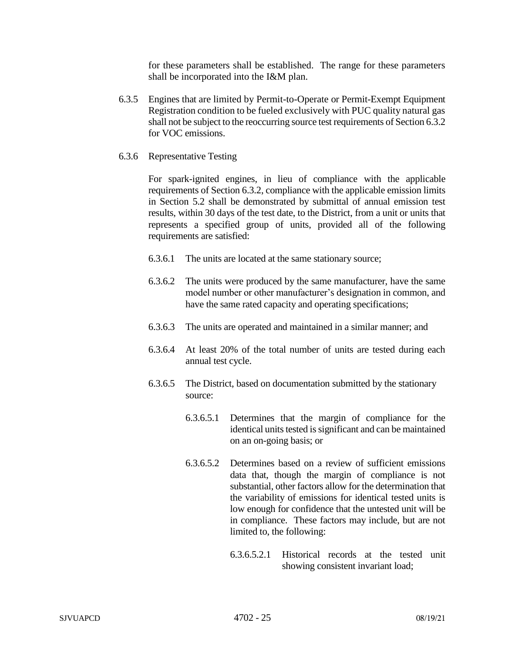for these parameters shall be established. The range for these parameters shall be incorporated into the I&M plan.

- 6.3.5 Engines that are limited by Permit-to-Operate or Permit-Exempt Equipment Registration condition to be fueled exclusively with PUC quality natural gas shall not be subject to the reoccurring source test requirements of Section 6.3.2 for VOC emissions.
- 6.3.6 Representative Testing

For spark-ignited engines, in lieu of compliance with the applicable requirements of Section 6.3.2, compliance with the applicable emission limits in Section 5.2 shall be demonstrated by submittal of annual emission test results, within 30 days of the test date, to the District, from a unit or units that represents a specified group of units, provided all of the following requirements are satisfied:

- 6.3.6.1 The units are located at the same stationary source;
- 6.3.6.2 The units were produced by the same manufacturer, have the same model number or other manufacturer's designation in common, and have the same rated capacity and operating specifications;
- 6.3.6.3 The units are operated and maintained in a similar manner; and
- 6.3.6.4 At least 20% of the total number of units are tested during each annual test cycle.
- 6.3.6.5 The District, based on documentation submitted by the stationary source:
	- 6.3.6.5.1 Determines that the margin of compliance for the identical units tested is significant and can be maintained on an on-going basis; or
	- 6.3.6.5.2 Determines based on a review of sufficient emissions data that, though the margin of compliance is not substantial, other factors allow for the determination that the variability of emissions for identical tested units is low enough for confidence that the untested unit will be in compliance. These factors may include, but are not limited to, the following:
		- 6.3.6.5.2.1 Historical records at the tested unit showing consistent invariant load;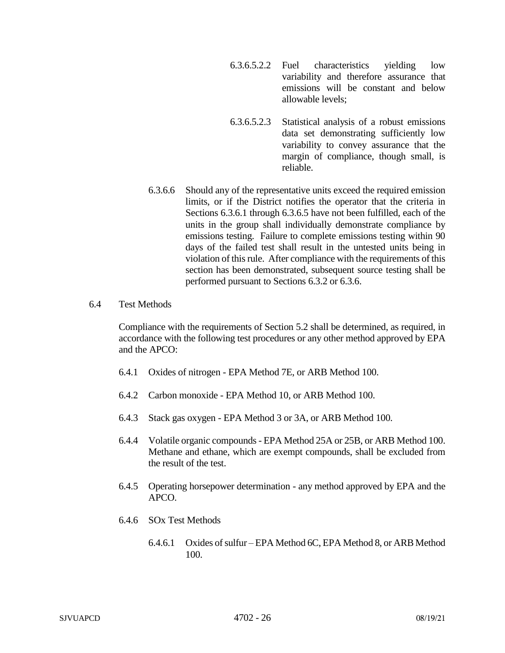- 6.3.6.5.2.2 Fuel characteristics yielding low variability and therefore assurance that emissions will be constant and below allowable levels;
- 6.3.6.5.2.3 Statistical analysis of a robust emissions data set demonstrating sufficiently low variability to convey assurance that the margin of compliance, though small, is reliable.
- 6.3.6.6 Should any of the representative units exceed the required emission limits, or if the District notifies the operator that the criteria in Sections 6.3.6.1 through 6.3.6.5 have not been fulfilled, each of the units in the group shall individually demonstrate compliance by emissions testing. Failure to complete emissions testing within 90 days of the failed test shall result in the untested units being in violation of this rule. After compliance with the requirements of this section has been demonstrated, subsequent source testing shall be performed pursuant to Sections 6.3.2 or 6.3.6.
- 6.4 Test Methods

Compliance with the requirements of Section 5.2 shall be determined, as required, in accordance with the following test procedures or any other method approved by EPA and the APCO:

- 6.4.1 Oxides of nitrogen EPA Method 7E, or ARB Method 100.
- 6.4.2 Carbon monoxide EPA Method 10, or ARB Method 100.
- 6.4.3 Stack gas oxygen EPA Method 3 or 3A, or ARB Method 100.
- 6.4.4 Volatile organic compounds EPA Method 25A or 25B, or ARB Method 100. Methane and ethane, which are exempt compounds, shall be excluded from the result of the test.
- 6.4.5 Operating horsepower determination any method approved by EPA and the APCO.
- 6.4.6 SOx Test Methods
	- 6.4.6.1 Oxides of sulfur EPA Method 6C, EPA Method 8, or ARB Method 100.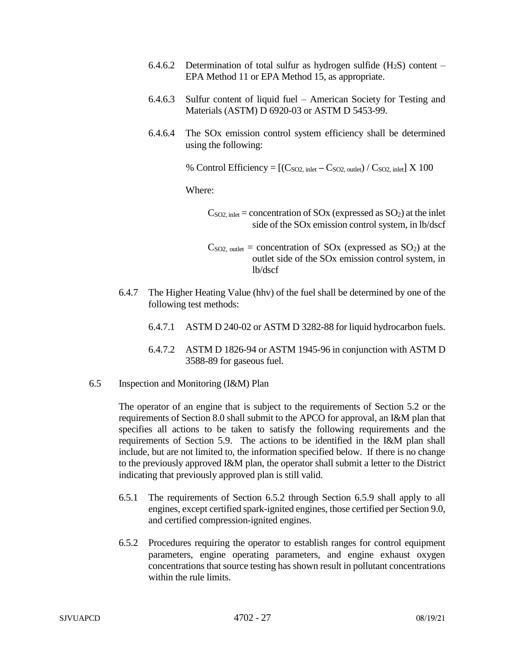- 6.4.6.2 Determination of total sulfur as hydrogen sulfide  $(H_2S)$  content EPA Method 11 or EPA Method 15, as appropriate.
- 6.4.6.3 Sulfur content of liquid fuel American Society for Testing and Materials (ASTM) D 6920-03 or ASTM D 5453-99.
- 6.4.6.4 The SOx emission control system efficiency shall be determined using the following:

% Control Efficiency =  $[(C_{SO2, \text{inlet}} - C_{SO2, \text{outlet}}) / C_{SO2, \text{inlet}}] \times 100$ 

Where:

 $C<sub>SO2</sub>$ , inlet = concentration of SOx (expressed as SO<sub>2</sub>) at the inlet side of the SOx emission control system, in lb/dscf

- $C<sub>SO2</sub>$ , outlet = concentration of SOx (expressed as SO<sub>2</sub>) at the outlet side of the SOx emission control system, in lb/dscf
- 6.4.7 The Higher Heating Value (hhv) of the fuel shall be determined by one of the following test methods:
	- 6.4.7.1 ASTM D 240-02 or ASTM D 3282-88 for liquid hydrocarbon fuels.
	- 6.4.7.2 ASTM D 1826-94 or ASTM 1945-96 in conjunction with ASTM D 3588-89 for gaseous fuel.
- 6.5 Inspection and Monitoring (I&M) Plan

The operator of an engine that is subject to the requirements of Section 5.2 or the requirements of Section 8.0 shall submit to the APCO for approval, an I&M plan that specifies all actions to be taken to satisfy the following requirements and the requirements of Section 5.9. The actions to be identified in the I&M plan shall include, but are not limited to, the information specified below. If there is no change to the previously approved I&M plan, the operator shall submit a letter to the District indicating that previously approved plan is still valid.

- 6.5.1 The requirements of Section 6.5.2 through Section 6.5.9 shall apply to all engines, except certified spark-ignited engines, those certified per Section 9.0, and certified compression-ignited engines.
- 6.5.2 Procedures requiring the operator to establish ranges for control equipment parameters, engine operating parameters, and engine exhaust oxygen concentrations that source testing has shown result in pollutant concentrations within the rule limits.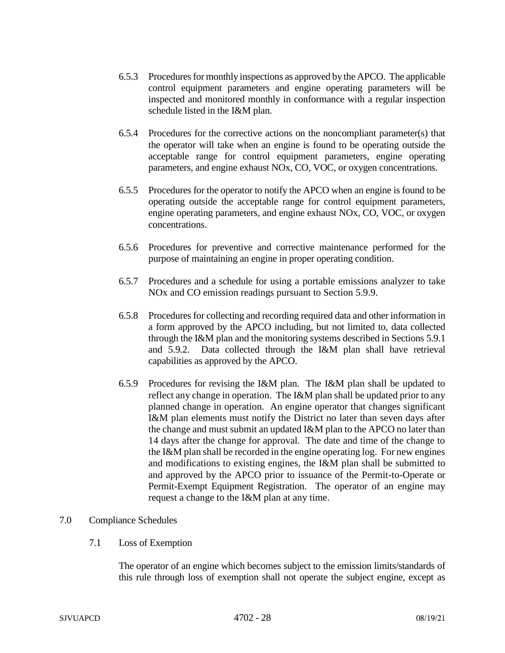- 6.5.3 Procedures for monthly inspections as approved by the APCO. The applicable control equipment parameters and engine operating parameters will be inspected and monitored monthly in conformance with a regular inspection schedule listed in the I&M plan.
- 6.5.4 Procedures for the corrective actions on the noncompliant parameter(s) that the operator will take when an engine is found to be operating outside the acceptable range for control equipment parameters, engine operating parameters, and engine exhaust NOx, CO, VOC, or oxygen concentrations.
- 6.5.5 Procedures for the operator to notify the APCO when an engine is found to be operating outside the acceptable range for control equipment parameters, engine operating parameters, and engine exhaust NOx, CO, VOC, or oxygen concentrations.
- 6.5.6 Procedures for preventive and corrective maintenance performed for the purpose of maintaining an engine in proper operating condition.
- 6.5.7 Procedures and a schedule for using a portable emissions analyzer to take NOx and CO emission readings pursuant to Section 5.9.9.
- 6.5.8 Procedures for collecting and recording required data and other information in a form approved by the APCO including, but not limited to, data collected through the I&M plan and the monitoring systems described in Sections 5.9.1 and 5.9.2. Data collected through the I&M plan shall have retrieval capabilities as approved by the APCO.
- 6.5.9 Procedures for revising the I&M plan. The I&M plan shall be updated to reflect any change in operation. The I&M plan shall be updated prior to any planned change in operation. An engine operator that changes significant I&M plan elements must notify the District no later than seven days after the change and must submit an updated I&M plan to the APCO no later than 14 days after the change for approval. The date and time of the change to the I&M plan shall be recorded in the engine operating log. For new engines and modifications to existing engines, the I&M plan shall be submitted to and approved by the APCO prior to issuance of the Permit-to-Operate or Permit-Exempt Equipment Registration. The operator of an engine may request a change to the I&M plan at any time.

# 7.0 Compliance Schedules

7.1 Loss of Exemption

The operator of an engine which becomes subject to the emission limits/standards of this rule through loss of exemption shall not operate the subject engine, except as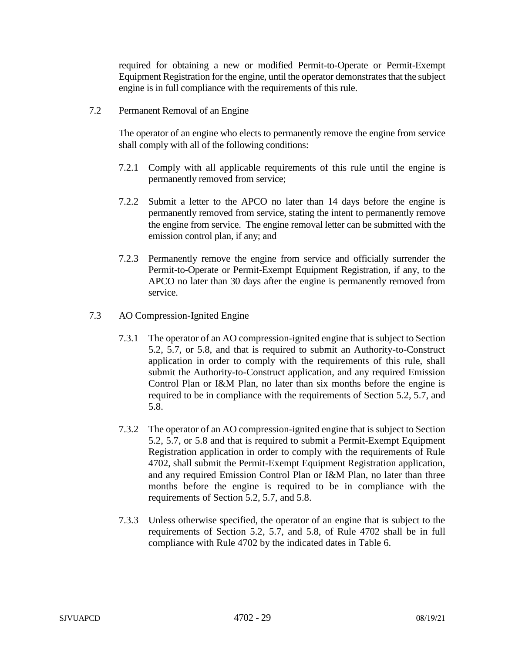required for obtaining a new or modified Permit-to-Operate or Permit-Exempt Equipment Registration for the engine, until the operator demonstrates that the subject engine is in full compliance with the requirements of this rule.

7.2 Permanent Removal of an Engine

The operator of an engine who elects to permanently remove the engine from service shall comply with all of the following conditions:

- 7.2.1 Comply with all applicable requirements of this rule until the engine is permanently removed from service;
- 7.2.2 Submit a letter to the APCO no later than 14 days before the engine is permanently removed from service, stating the intent to permanently remove the engine from service. The engine removal letter can be submitted with the emission control plan, if any; and
- 7.2.3 Permanently remove the engine from service and officially surrender the Permit-to-Operate or Permit-Exempt Equipment Registration, if any, to the APCO no later than 30 days after the engine is permanently removed from service.
- 7.3 AO Compression-Ignited Engine
	- 7.3.1 The operator of an AO compression-ignited engine that is subject to Section 5.2, 5.7, or 5.8, and that is required to submit an Authority-to-Construct application in order to comply with the requirements of this rule, shall submit the Authority-to-Construct application, and any required Emission Control Plan or I&M Plan, no later than six months before the engine is required to be in compliance with the requirements of Section 5.2, 5.7, and 5.8.
	- 7.3.2 The operator of an AO compression-ignited engine that is subject to Section 5.2, 5.7, or 5.8 and that is required to submit a Permit-Exempt Equipment Registration application in order to comply with the requirements of Rule 4702, shall submit the Permit-Exempt Equipment Registration application, and any required Emission Control Plan or I&M Plan, no later than three months before the engine is required to be in compliance with the requirements of Section 5.2, 5.7, and 5.8.
	- 7.3.3 Unless otherwise specified, the operator of an engine that is subject to the requirements of Section 5.2, 5.7, and 5.8, of Rule 4702 shall be in full compliance with Rule 4702 by the indicated dates in Table 6.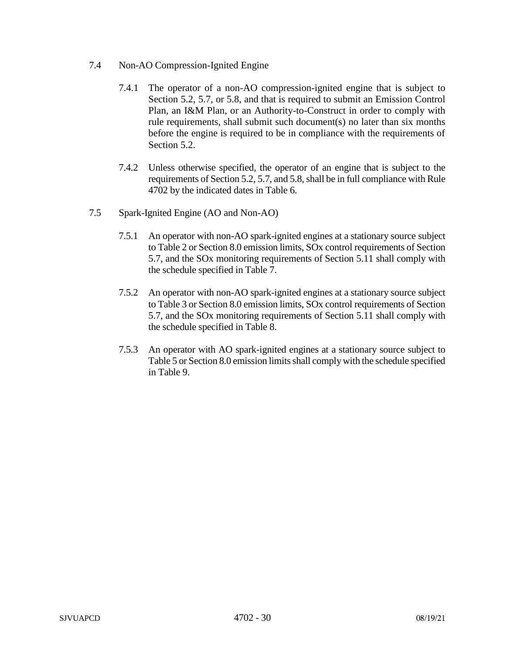- 7.4 Non-AO Compression-Ignited Engine
	- 7.4.1 The operator of a non-AO compression-ignited engine that is subject to Section 5.2, 5.7, or 5.8, and that is required to submit an Emission Control Plan, an I&M Plan, or an Authority-to-Construct in order to comply with rule requirements, shall submit such document(s) no later than six months before the engine is required to be in compliance with the requirements of Section 5.2.
	- 7.4.2 Unless otherwise specified, the operator of an engine that is subject to the requirements of Section 5.2, 5.7, and 5.8, shall be in full compliance with Rule 4702 by the indicated dates in Table 6.
- 7.5 Spark-Ignited Engine (AO and Non-AO)
	- 7.5.1 An operator with non-AO spark-ignited engines at a stationary source subject to Table 2 or Section 8.0 emission limits, SOx control requirements of Section 5.7, and the SOx monitoring requirements of Section 5.11 shall comply with the schedule specified in Table 7.
	- 7.5.2 An operator with non-AO spark-ignited engines at a stationary source subject to Table 3 or Section 8.0 emission limits, SOx control requirements of Section 5.7, and the SOx monitoring requirements of Section 5.11 shall comply with the schedule specified in Table 8.
	- 7.5.3 An operator with AO spark-ignited engines at a stationary source subject to Table 5 or Section 8.0 emission limits shall comply with the schedule specified in Table 9.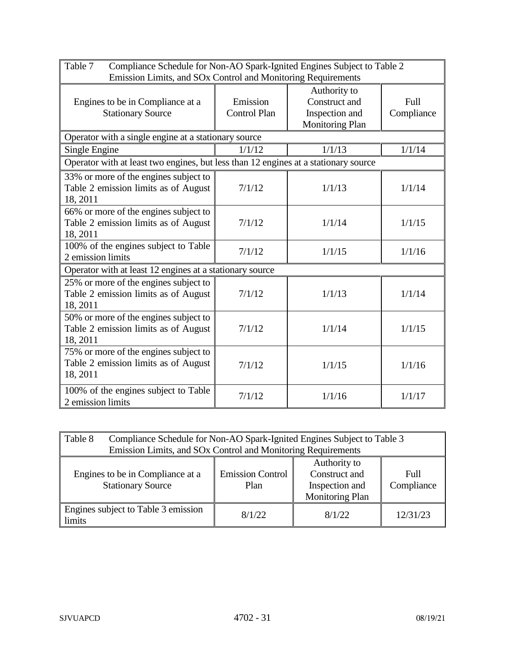| Table 7<br>Compliance Schedule for Non-AO Spark-Ignited Engines Subject to Table 2<br>Emission Limits, and SOx Control and Monitoring Requirements |                                 |                                                                           |                           |  |  |
|----------------------------------------------------------------------------------------------------------------------------------------------------|---------------------------------|---------------------------------------------------------------------------|---------------------------|--|--|
| Engines to be in Compliance at a<br><b>Stationary Source</b>                                                                                       | Emission<br><b>Control Plan</b> | Authority to<br>Construct and<br>Inspection and<br><b>Monitoring Plan</b> | <b>Full</b><br>Compliance |  |  |
| Operator with a single engine at a stationary source                                                                                               |                                 |                                                                           |                           |  |  |
| Single Engine                                                                                                                                      | 1/1/12                          | 1/1/13                                                                    | 1/1/14                    |  |  |
| Operator with at least two engines, but less than 12 engines at a stationary source                                                                |                                 |                                                                           |                           |  |  |
| 33% or more of the engines subject to<br>Table 2 emission limits as of August<br>18, 2011                                                          | 7/1/12                          | 1/1/13                                                                    | 1/1/14                    |  |  |
| 66% or more of the engines subject to<br>Table 2 emission limits as of August<br>18, 2011                                                          | 7/1/12                          | 1/1/14                                                                    | 1/1/15                    |  |  |
| $\overline{100\%}$ of the engines subject to Table<br>2 emission limits                                                                            | 7/1/12                          | 1/1/15                                                                    | 1/1/16                    |  |  |
| Operator with at least 12 engines at a stationary source                                                                                           |                                 |                                                                           |                           |  |  |
| 25% or more of the engines subject to<br>Table 2 emission limits as of August<br>18, 2011                                                          | 7/1/12                          | 1/1/13                                                                    | 1/1/14                    |  |  |
| 50% or more of the engines subject to<br>Table 2 emission limits as of August<br>18, 2011                                                          | 7/1/12                          | 1/1/14                                                                    | 1/1/15                    |  |  |
| 75% or more of the engines subject to<br>Table 2 emission limits as of August<br>18, 2011                                                          | 7/1/12                          | 1/1/15                                                                    | 1/1/16                    |  |  |
| 100% of the engines subject to Table<br>2 emission limits                                                                                          | 7/1/12                          | 1/1/16                                                                    | 1/1/17                    |  |  |

| Table 8<br>Compliance Schedule for Non-AO Spark-Ignited Engines Subject to Table 3<br>Emission Limits, and SOx Control and Monitoring Requirements                                                 |        |        |          |
|----------------------------------------------------------------------------------------------------------------------------------------------------------------------------------------------------|--------|--------|----------|
| Authority to<br>Construct and<br><b>Emission Control</b><br>Engines to be in Compliance at a<br>Full<br><b>Stationary Source</b><br>Compliance<br>Inspection and<br>Plan<br><b>Monitoring Plan</b> |        |        |          |
| Engines subject to Table 3 emission<br>limits                                                                                                                                                      | 8/1/22 | 8/1/22 | 12/31/23 |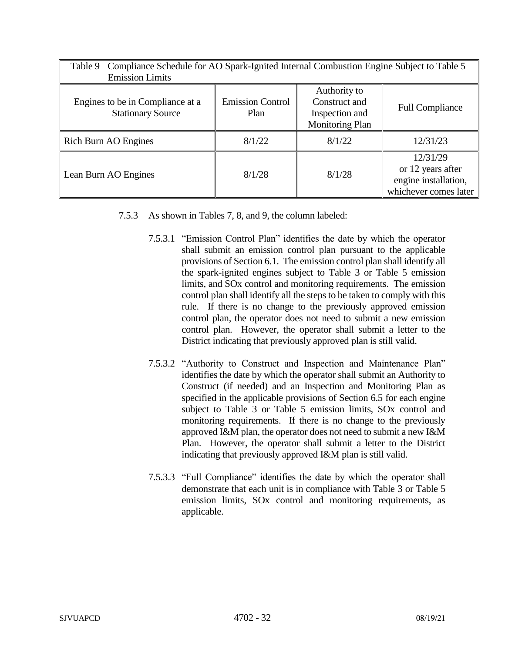| Compliance Schedule for AO Spark-Ignited Internal Combustion Engine Subject to Table 5<br>Table 9 |                                 |                                                                           |                                                                                |  |  |
|---------------------------------------------------------------------------------------------------|---------------------------------|---------------------------------------------------------------------------|--------------------------------------------------------------------------------|--|--|
| <b>Emission Limits</b>                                                                            |                                 |                                                                           |                                                                                |  |  |
| Engines to be in Compliance at a<br><b>Stationary Source</b>                                      | <b>Emission Control</b><br>Plan | Authority to<br>Construct and<br>Inspection and<br><b>Monitoring Plan</b> | <b>Full Compliance</b>                                                         |  |  |
| <b>Rich Burn AO Engines</b>                                                                       | 8/1/22                          | 8/1/22                                                                    | 12/31/23                                                                       |  |  |
| Lean Burn AO Engines                                                                              | 8/1/28                          | 8/1/28                                                                    | 12/31/29<br>or 12 years after<br>engine installation,<br>whichever comes later |  |  |

- 7.5.3 As shown in Tables 7, 8, and 9, the column labeled:
	- 7.5.3.1 "Emission Control Plan" identifies the date by which the operator shall submit an emission control plan pursuant to the applicable provisions of Section 6.1. The emission control plan shall identify all the spark-ignited engines subject to Table 3 or Table 5 emission limits, and SOx control and monitoring requirements. The emission control plan shall identify all the steps to be taken to comply with this rule. If there is no change to the previously approved emission control plan, the operator does not need to submit a new emission control plan. However, the operator shall submit a letter to the District indicating that previously approved plan is still valid.
	- 7.5.3.2 "Authority to Construct and Inspection and Maintenance Plan" identifies the date by which the operator shall submit an Authority to Construct (if needed) and an Inspection and Monitoring Plan as specified in the applicable provisions of Section 6.5 for each engine subject to Table 3 or Table 5 emission limits, SOx control and monitoring requirements. If there is no change to the previously approved I&M plan, the operator does not need to submit a new I&M Plan. However, the operator shall submit a letter to the District indicating that previously approved I&M plan is still valid.
	- 7.5.3.3 "Full Compliance" identifies the date by which the operator shall demonstrate that each unit is in compliance with Table 3 or Table 5 emission limits, SOx control and monitoring requirements, as applicable.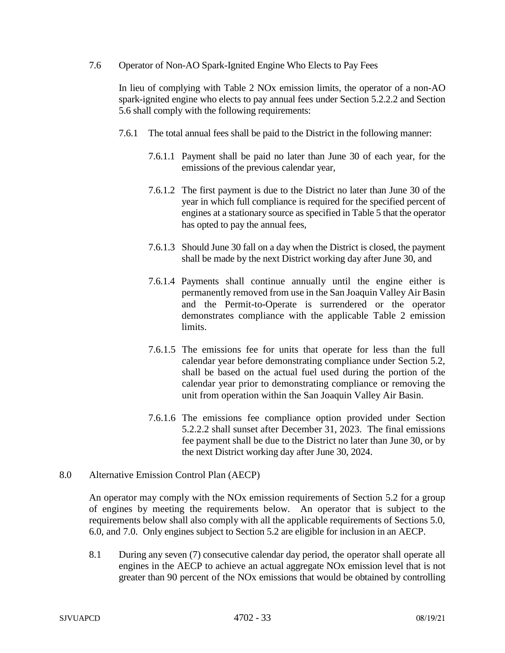7.6 Operator of Non-AO Spark-Ignited Engine Who Elects to Pay Fees

In lieu of complying with Table 2 NOx emission limits, the operator of a non-AO spark-ignited engine who elects to pay annual fees under Section 5.2.2.2 and Section 5.6 shall comply with the following requirements:

- 7.6.1 The total annual fees shall be paid to the District in the following manner:
	- 7.6.1.1 Payment shall be paid no later than June 30 of each year, for the emissions of the previous calendar year,
	- 7.6.1.2 The first payment is due to the District no later than June 30 of the year in which full compliance is required for the specified percent of engines at a stationary source as specified in Table 5 that the operator has opted to pay the annual fees,
	- 7.6.1.3 Should June 30 fall on a day when the District is closed, the payment shall be made by the next District working day after June 30, and
	- 7.6.1.4 Payments shall continue annually until the engine either is permanently removed from use in the San Joaquin Valley Air Basin and the Permit-to-Operate is surrendered or the operator demonstrates compliance with the applicable Table 2 emission limits.
	- 7.6.1.5 The emissions fee for units that operate for less than the full calendar year before demonstrating compliance under Section 5.2, shall be based on the actual fuel used during the portion of the calendar year prior to demonstrating compliance or removing the unit from operation within the San Joaquin Valley Air Basin.
	- 7.6.1.6 The emissions fee compliance option provided under Section 5.2.2.2 shall sunset after December 31, 2023. The final emissions fee payment shall be due to the District no later than June 30, or by the next District working day after June 30, 2024.
- 8.0 Alternative Emission Control Plan (AECP)

An operator may comply with the NOx emission requirements of Section 5.2 for a group of engines by meeting the requirements below. An operator that is subject to the requirements below shall also comply with all the applicable requirements of Sections 5.0, 6.0, and 7.0. Only engines subject to Section 5.2 are eligible for inclusion in an AECP.

8.1 During any seven (7) consecutive calendar day period, the operator shall operate all engines in the AECP to achieve an actual aggregate NOx emission level that is not greater than 90 percent of the NOx emissions that would be obtained by controlling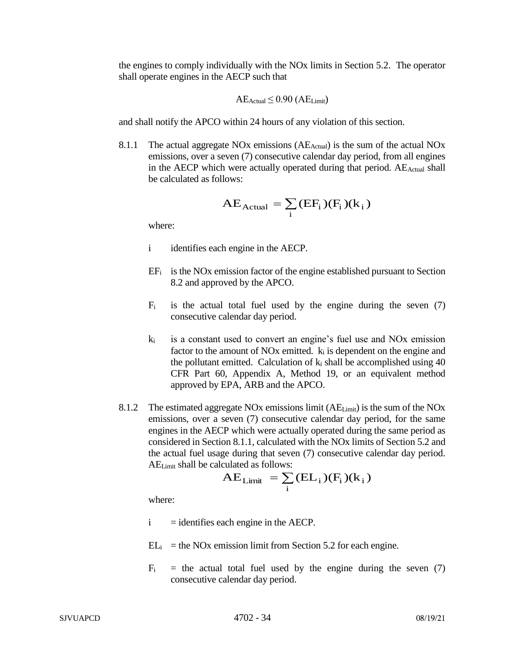the engines to comply individually with the NOx limits in Section 5.2. The operator shall operate engines in the AECP such that

$$
AE_{Actual} \leq 0.90 (AE_{Limit})
$$

and shall notify the APCO within 24 hours of any violation of this section.

8.1.1 The actual aggregate NOx emissions (AE<sub>Actual</sub>) is the sum of the actual NOx emissions, over a seven (7) consecutive calendar day period, from all engines in the AECP which were actually operated during that period. AE<sub>Actual</sub> shall be calculated as follows:

$$
AE_{Actual} = \sum_{i} (EF_{i})(F_{i})(k_{i})
$$

where:

- i identifies each engine in the AECP.
- $EF_i$  is the NOx emission factor of the engine established pursuant to Section 8.2 and approved by the APCO.
- $F_i$  is the actual total fuel used by the engine during the seven (7) consecutive calendar day period.
- $k_i$  is a constant used to convert an engine's fuel use and NOx emission factor to the amount of NO<sub>x</sub> emitted.  $k_i$  is dependent on the engine and the pollutant emitted. Calculation of  $k_i$  shall be accomplished using 40 CFR Part 60, Appendix A, Method 19, or an equivalent method approved by EPA, ARB and the APCO.
- 8.1.2 The estimated aggregate NOx emissions limit (AELimit) is the sum of the NOx emissions, over a seven (7) consecutive calendar day period, for the same engines in the AECP which were actually operated during the same period as considered in Section 8.1.1, calculated with the NOx limits of Section 5.2 and the actual fuel usage during that seven (7) consecutive calendar day period. AELimit shall be calculated as follows:

$$
AE_{Limit} = \sum_{i} (EL_{i}) (F_{i}) (k_{i})
$$

where:

- $i =$  identifies each engine in the AECP.
- $EL_i$  = the NOx emission limit from Section 5.2 for each engine.
- $F_i$  = the actual total fuel used by the engine during the seven (7) consecutive calendar day period.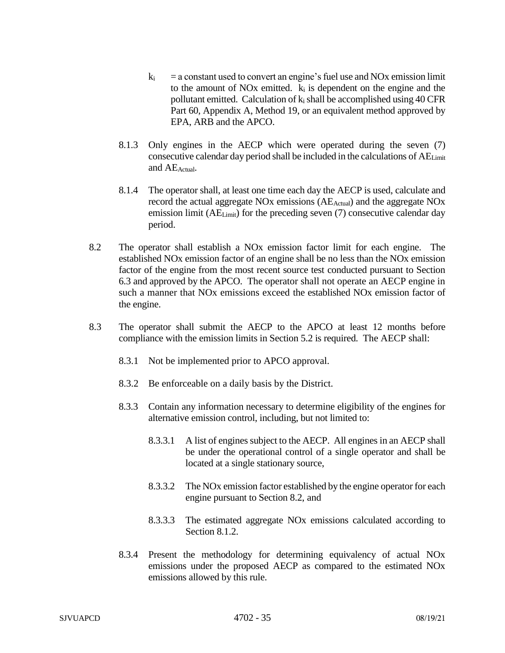- $k_i$  = a constant used to convert an engine's fuel use and NOx emission limit to the amount of NO<sub>x</sub> emitted.  $k_i$  is dependent on the engine and the pollutant emitted. Calculation of  $k_i$  shall be accomplished using 40 CFR Part 60, Appendix A, Method 19, or an equivalent method approved by EPA, ARB and the APCO.
- 8.1.3 Only engines in the AECP which were operated during the seven (7) consecutive calendar day period shall be included in the calculations of AELimit and AEActual.
- 8.1.4 The operator shall, at least one time each day the AECP is used, calculate and record the actual aggregate NO<sub>x</sub> emissions (AE<sub>Actual</sub>) and the aggregate NO<sub>x</sub> emission limit (AE<sub>Limit</sub>) for the preceding seven (7) consecutive calendar day period.
- 8.2 The operator shall establish a NOx emission factor limit for each engine. The established NOx emission factor of an engine shall be no less than the NOx emission factor of the engine from the most recent source test conducted pursuant to Section 6.3 and approved by the APCO. The operator shall not operate an AECP engine in such a manner that NOx emissions exceed the established NOx emission factor of the engine.
- 8.3 The operator shall submit the AECP to the APCO at least 12 months before compliance with the emission limits in Section 5.2 is required. The AECP shall:
	- 8.3.1 Not be implemented prior to APCO approval.
	- 8.3.2 Be enforceable on a daily basis by the District.
	- 8.3.3 Contain any information necessary to determine eligibility of the engines for alternative emission control, including, but not limited to:
		- 8.3.3.1 A list of engines subject to the AECP. All engines in an AECP shall be under the operational control of a single operator and shall be located at a single stationary source,
		- 8.3.3.2 The NOx emission factor established by the engine operator for each engine pursuant to Section 8.2, and
		- 8.3.3.3 The estimated aggregate NOx emissions calculated according to Section 8.1.2.
	- 8.3.4 Present the methodology for determining equivalency of actual NOx emissions under the proposed AECP as compared to the estimated NOx emissions allowed by this rule.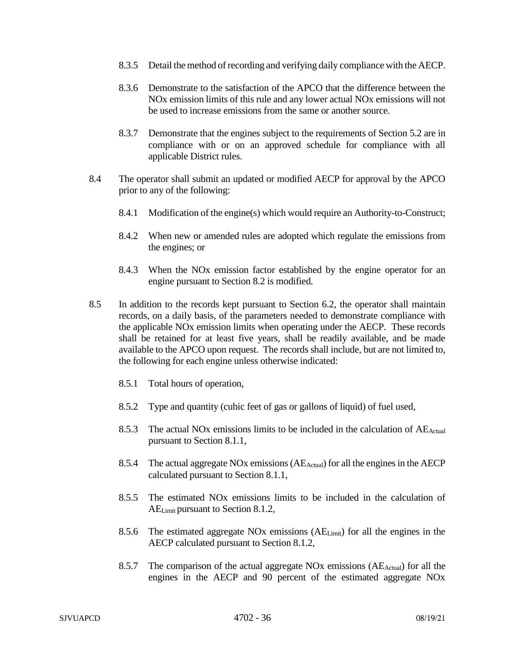- 8.3.5 Detail the method of recording and verifying daily compliance with the AECP.
- 8.3.6 Demonstrate to the satisfaction of the APCO that the difference between the NOx emission limits of this rule and any lower actual NOx emissions will not be used to increase emissions from the same or another source.
- 8.3.7 Demonstrate that the engines subject to the requirements of Section 5.2 are in compliance with or on an approved schedule for compliance with all applicable District rules.
- 8.4 The operator shall submit an updated or modified AECP for approval by the APCO prior to any of the following:
	- 8.4.1 Modification of the engine(s) which would require an Authority-to-Construct;
	- 8.4.2 When new or amended rules are adopted which regulate the emissions from the engines; or
	- 8.4.3 When the NOx emission factor established by the engine operator for an engine pursuant to Section 8.2 is modified.
- 8.5 In addition to the records kept pursuant to Section 6.2, the operator shall maintain records, on a daily basis, of the parameters needed to demonstrate compliance with the applicable NOx emission limits when operating under the AECP. These records shall be retained for at least five years, shall be readily available, and be made available to the APCO upon request. The records shall include, but are not limited to, the following for each engine unless otherwise indicated:
	- 8.5.1 Total hours of operation,
	- 8.5.2 Type and quantity (cubic feet of gas or gallons of liquid) of fuel used,
	- 8.5.3 The actual NOx emissions limits to be included in the calculation of AE<sub>Actual</sub> pursuant to Section 8.1.1,
	- 8.5.4 The actual aggregate NOx emissions (AE<sub>Actual</sub>) for all the engines in the AECP calculated pursuant to Section 8.1.1,
	- 8.5.5 The estimated NOx emissions limits to be included in the calculation of AELimit pursuant to Section 8.1.2,
	- 8.5.6 The estimated aggregate NOx emissions  $(AE_{Limit})$  for all the engines in the AECP calculated pursuant to Section 8.1.2,
	- 8.5.7 The comparison of the actual aggregate NOx emissions ( $AE<sub>Actual</sub>$ ) for all the engines in the AECP and 90 percent of the estimated aggregate NOx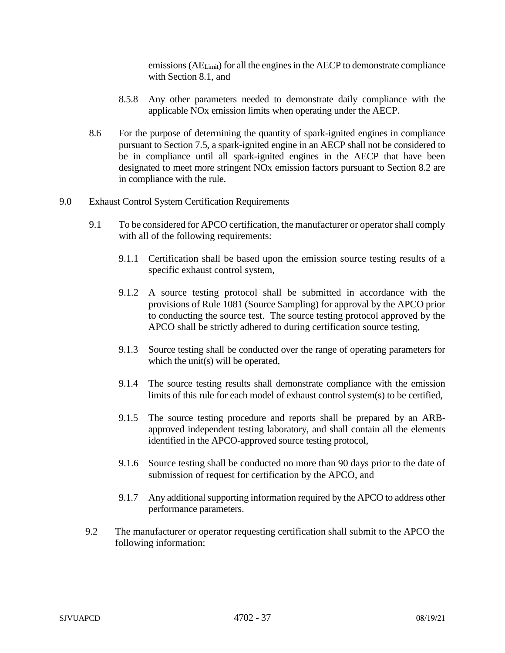emissions (AELimit) for all the engines in the AECP to demonstrate compliance with Section 8.1, and

- 8.5.8 Any other parameters needed to demonstrate daily compliance with the applicable NOx emission limits when operating under the AECP.
- 8.6 For the purpose of determining the quantity of spark-ignited engines in compliance pursuant to Section 7.5, a spark-ignited engine in an AECP shall not be considered to be in compliance until all spark-ignited engines in the AECP that have been designated to meet more stringent NOx emission factors pursuant to Section 8.2 are in compliance with the rule.
- 9.0 Exhaust Control System Certification Requirements
	- 9.1 To be considered for APCO certification, the manufacturer or operator shall comply with all of the following requirements:
		- 9.1.1 Certification shall be based upon the emission source testing results of a specific exhaust control system,
		- 9.1.2 A source testing protocol shall be submitted in accordance with the provisions of Rule 1081 (Source Sampling) for approval by the APCO prior to conducting the source test. The source testing protocol approved by the APCO shall be strictly adhered to during certification source testing,
		- 9.1.3 Source testing shall be conducted over the range of operating parameters for which the unit(s) will be operated,
		- 9.1.4 The source testing results shall demonstrate compliance with the emission limits of this rule for each model of exhaust control system(s) to be certified,
		- 9.1.5 The source testing procedure and reports shall be prepared by an ARBapproved independent testing laboratory, and shall contain all the elements identified in the APCO-approved source testing protocol,
		- 9.1.6 Source testing shall be conducted no more than 90 days prior to the date of submission of request for certification by the APCO, and
		- 9.1.7 Any additional supporting information required by the APCO to address other performance parameters.
	- 9.2 The manufacturer or operator requesting certification shall submit to the APCO the following information: